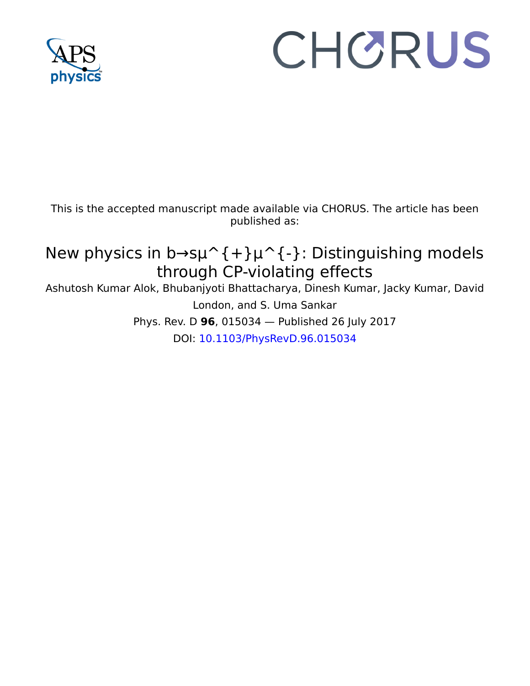

# CHORUS

This is the accepted manuscript made available via CHORUS. The article has been published as:

## New physics in b $\rightarrow$ s $\mu$ <sup>^</sup>{+} $\mu$ <sup>^</sup>{-}: Distinguishing models through CP-violating effects

Ashutosh Kumar Alok, Bhubanjyoti Bhattacharya, Dinesh Kumar, Jacky Kumar, David London, and S. Uma Sankar Phys. Rev. D **96**, 015034 — Published 26 July 2017 DOI: 10.1103/PhysRevD.96.015034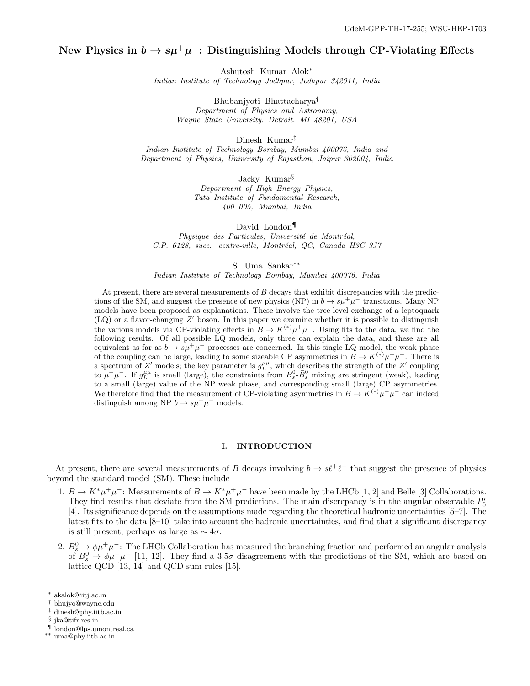### New Physics in  $b \to s\mu^+\mu^-$ : Distinguishing Models through CP-Violating Effects

Ashutosh Kumar Alok<sup>∗</sup> Indian Institute of Technology Jodhpur, Jodhpur 342011, India

> Bhubanjyoti Bhattacharya† Department of Physics and Astronomy, Wayne State University, Detroit, MI 48201, USA

> > Dinesh Kumar‡

Indian Institute of Technology Bombay, Mumbai 400076, India and Department of Physics, University of Rajasthan, Jaipur 302004, India

Jacky Kumar§

Department of High Energy Physics, Tata Institute of Fundamental Research, 400 005, Mumbai, India

David London<sup>¶</sup> Physique des Particules, Université de Montréal, C.P. 6128, succ. centre-ville, Montréal, QC, Canada H3C 3J7

S. Uma Sankar∗∗

Indian Institute of Technology Bombay, Mumbai 400076, India

At present, there are several measurements of  $B$  decays that exhibit discrepancies with the predictions of the SM, and suggest the presence of new physics (NP) in  $b \to s\mu^+\mu^-$  transitions. Many NP models have been proposed as explanations. These involve the tree-level exchange of a leptoquark  $(LQ)$  or a flavor-changing  $Z'$  boson. In this paper we examine whether it is possible to distinguish the various models via CP-violating effects in  $B \to K^{(*)} \mu^+ \mu^-$ . Using fits to the data, we find the following results. Of all possible LQ models, only three can explain the data, and these are all equivalent as far as  $b \to s\mu^+\mu^-$  processes are concerned. In this single LQ model, the weak phase of the coupling can be large, leading to some sizeable CP asymmetries in  $B \to K^{(*)} \mu^+ \mu^-$ . There is a spectrum of Z' models; the key parameter is  $g_L^{\mu\mu}$ , which describes the strength of the Z' coupling to  $\mu^+\mu^-$ . If  $g_L^{\mu\mu}$  is small (large), the constraints from  $B_s^0$ - $\bar{B}_s^0$  mixing are stringent (weak), leading to a small (large) value of the NP weak phase, and corresponding small (large) CP asymmetries. We therefore find that the measurement of CP-violating asymmetries in  $B \to K^{(*)} \mu^+ \mu^-$  can indeed distinguish among NP  $b \to s\mu^+\mu^-$  models.

#### I. INTRODUCTION

At present, there are several measurements of B decays involving  $b \to s\ell^+\ell^-$  that suggest the presence of physics beyond the standard model (SM). These include

- 1.  $B \to K^* \mu^+ \mu^-$ : Measurements of  $B \to K^* \mu^+ \mu^-$  have been made by the LHCb [1, 2] and Belle [3] Collaborations. They find results that deviate from the SM predictions. The main discrepancy is in the angular observable  $P'_5$ [4]. Its significance depends on the assumptions made regarding the theoretical hadronic uncertainties [5–7]. The latest fits to the data [8–10] take into account the hadronic uncertainties, and find that a significant discrepancy is still present, perhaps as large as  $\sim 4\sigma$ .
- 2.  $B^0_s \to \phi \mu^+ \mu^-$ : The LHCb Collaboration has measured the branching fraction and performed an angular analysis of  $B_s^0 \to \phi \mu^+ \mu^-$  [11, 12]. They find a 3.5 $\sigma$  disagreement with the predictions of the SM, which are based on lattice QCD [13, 14] and QCD sum rules [15].

¶ london@lps.umontreal.ca

<sup>∗</sup> akalok@iitj.ac.in

<sup>†</sup> bhujyo@wayne.edu

<sup>‡</sup> dinesh@phy.iitb.ac.in

<sup>§</sup> jka@tifr.res.in

<sup>∗∗</sup> uma@phy.iitb.ac.in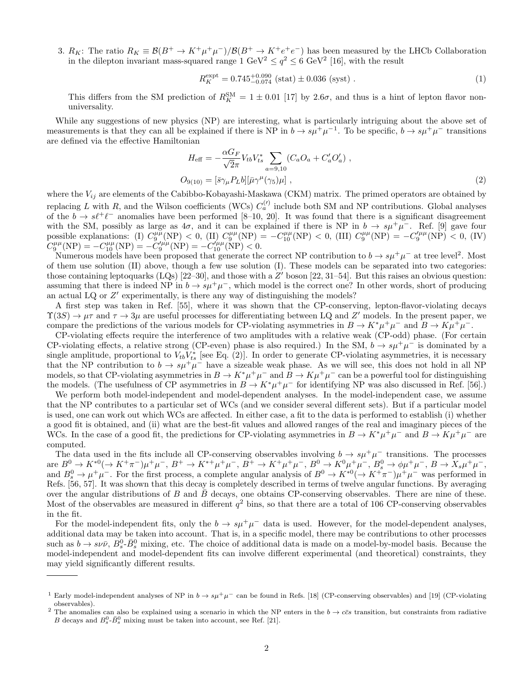3.  $R_K$ : The ratio  $R_K \equiv \mathcal{B}(B^+ \to K^+\mu^+\mu^-)/\mathcal{B}(B^+ \to K^+e^+e^-)$  has been measured by the LHCb Collaboration in the dilepton invariant mass-squared range  $1 \text{ GeV}^2 \le q^2 \le 6 \text{ GeV}^2$  [16], with the result

$$
R_K^{\text{expt}} = 0.745^{+0.090}_{-0.074} \text{ (stat)} \pm 0.036 \text{ (syst)} \,. \tag{1}
$$

This differs from the SM prediction of  $R_K^{\text{SM}} = 1 \pm 0.01$  [17] by 2.6 $\sigma$ , and thus is a hint of lepton flavor nonuniversality.

While any suggestions of new physics (NP) are interesting, what is particularly intriguing about the above set of measurements is that they can all be explained if there is NP in  $b \to s\mu^+\mu^{-1}$ . To be specific,  $b \to s\mu^+\mu^-$  transitions are defined via the effective Hamiltonian

$$
H_{\text{eff}} = -\frac{\alpha G_F}{\sqrt{2}\pi} V_{tb} V_{ts}^* \sum_{a=9,10} (C_a O_a + C_a' O_a') ,
$$
  
\n
$$
O_{9(10)} = [\bar{s}\gamma_\mu P_L b] [\bar{\mu}\gamma^\mu(\gamma_5)\mu] ,
$$
\n(2)

where the  $V_{ij}$  are elements of the Cabibbo-Kobayashi-Maskawa (CKM) matrix. The primed operators are obtained by replacing L with R, and the Wilson coefficients (WCs)  $C_a^{(l)}$  include both SM and NP contributions. Global analyses of the  $b \to s\ell^+\ell^-$  anomalies have been performed [8–10, 20]. It was found that there is a significant disagreement with the SM, possibly as large as  $4\sigma$ , and it can be explained if there is NP in  $b \to s\mu^+\mu^-$ . Ref. [9] gave four possible explanations: (I)  $C_9^{\mu\mu}(\text{NP}) < 0$ , (II)  $C_9^{\mu\mu}(\text{NP}) = -C_{10}^{\mu\mu}(\text{NP}) < 0$ , (III)  $C_9^{\mu\mu}(\text{NP}) = -C_9^{\prime\mu\mu}(\text{NP}) < 0$ , (IV)  $C_9^{\mu\mu}(\text{NP}) = -C_{10}^{\mu\mu}(\text{NP}) = -C_9^{\prime\mu\mu}(\text{NP}) = -C_{10}^{\prime\mu\mu}(\text{NP}) < 0.$ 

Numerous models have been proposed that generate the correct NP contribution to  $b \to s\mu^+\mu^-$  at tree level<sup>2</sup>. Most of them use solution (II) above, though a few use solution (I). These models can be separated into two categories: those containing leptoquarks  $(LQs)$  [22–30], and those with a  $Z'$  boson [22, 31–54]. But this raises an obvious question: assuming that there is indeed NP in  $b \to s\mu^+\mu^-$ , which model is the correct one? In other words, short of producing an actual LQ or Z' experimentally, is there any way of distinguishing the models?

A first step was taken in Ref. [55], where it was shown that the CP-conserving, lepton-flavor-violating decays  $\Upsilon(3S) \to \mu\tau$  and  $\tau \to 3\mu$  are useful processes for differentiating between LQ and Z' models. In the present paper, we compare the predictions of the various models for CP-violating asymmetries in  $B \to K^* \mu^+ \mu^-$  and  $B \to K \mu^+ \mu^-$ .

CP-violating effects require the interference of two amplitudes with a relative weak (CP-odd) phase. (For certain CP-violating effects, a relative strong (CP-even) phase is also required.) In the SM,  $b \to s\mu^+\mu^-$  is dominated by a single amplitude, proportional to  $V_{tb}V_{ts}^*$  [see Eq. (2)]. In order to generate CP-violating asymmetries, it is necessary that the NP contribution to  $b \to s\mu^+\mu^-$  have a sizeable weak phase. As we will see, this does not hold in all NP models, so that CP-violating asymmetries in  $B \to K^* \mu^+ \mu^-$  and  $B \to K \mu^+ \mu^-$  can be a powerful tool for distinguishing the models. (The usefulness of CP asymmetries in  $B \to K^* \mu^+ \mu^-$  for identifying NP was also discussed in Ref. [56].)

We perform both model-independent and model-dependent analyses. In the model-independent case, we assume that the NP contributes to a particular set of WCs (and we consider several different sets). But if a particular model is used, one can work out which WCs are affected. In either case, a fit to the data is performed to establish (i) whether a good fit is obtained, and (ii) what are the best-fit values and allowed ranges of the real and imaginary pieces of the WCs. In the case of a good fit, the predictions for CP-violating asymmetries in  $B \to K^* \mu^+ \mu^-$  and  $B \to K \mu^+ \mu^-$  are computed.

The data used in the fits include all CP-conserving observables involving  $b \to s\mu^+\mu^-$  transitions. The processes  $\text{area } B^0 \to K^{*0} (\to K^+ \pi^-) \mu^+ \mu^-$ ,  $B^+ \to K^{*+} \mu^+ \mu^-$ ,  $B^+ \to K^+ \mu^+ \mu^-$ ,  $B^0 \to K^0 \mu^+ \mu^-$ ,  $B^0 \to \phi \mu^+ \mu^-$ ,  $B \to X_s \mu^+ \mu^-$ , and  $B^0 \to \mu^+ \mu^-$ . For the first process, a complete angular analysis of  $B^0 \to K^{*0} (\to K^+ \pi^-) \mu^+ \mu^-$  was performed in Refs. [56, 57]. It was shown that this decay is completely described in terms of twelve angular functions. By averaging over the angular distributions of  $B$  and  $\overline{B}$  decays, one obtains CP-conserving observables. There are nine of these. Most of the observables are measured in different  $q^2$  bins, so that there are a total of 106 CP-conserving observables in the fit.

For the model-independent fits, only the  $b \to s\mu^+\mu^-$  data is used. However, for the model-dependent analyses, additional data may be taken into account. That is, in a specific model, there may be contributions to other processes such as  $b \to s \nu \bar{\nu}$ ,  $B_s^0$ ,  $\bar{B}_s^0$  mixing, etc. The choice of additional data is made on a model-by-model basis. Because the model-independent and model-dependent fits can involve different experimental (and theoretical) constraints, they may yield significantly different results.

<sup>&</sup>lt;sup>1</sup> Early model-independent analyses of NP in  $b \to s\mu^+\mu^-$  can be found in Refs. [18] (CP-conserving observables) and [19] (CP-violating observables).

<sup>&</sup>lt;sup>2</sup> The anomalies can also be explained using a scenario in which the NP enters in the  $b \to c\bar{c}s$  transition, but constraints from radiative B decays and  $B_s^0$ - $\bar{B}_s^0$  mixing must be taken into account, see Ref. [21].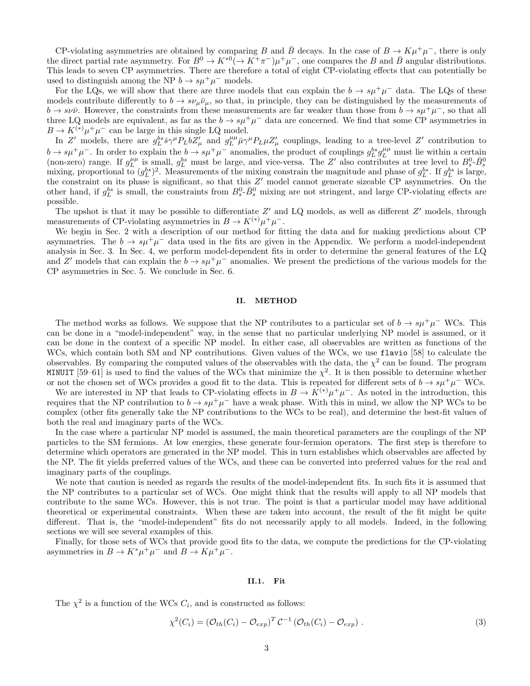CP-violating asymmetries are obtained by comparing B and B decays. In the case of  $B \to K\mu^+\mu^-$ , there is only the direct partial rate asymmetry. For  $B^0 \to K^{*0}(\to K^+\pi^-)\mu^+\mu^-$ , one compares the B and B angular distributions. This leads to seven CP asymmetries. There are therefore a total of eight CP-violating effects that can potentially be used to distinguish among the NP  $b \to s\mu^+\mu^-$  models.

For the LQs, we will show that there are three models that can explain the  $b \to s\mu^+\mu^-$  data. The LQs of these models contribute differently to  $b \to s\nu_\mu\bar{\nu}_\mu$ , so that, in principle, they can be distinguished by the measurements of  $b \to s\nu\bar{\nu}$ . However, the constraints from these measurements are far weaker than those from  $b \to s\mu^+\mu^-$ , so that all three LQ models are equivalent, as far as the  $b \to s\mu^+\mu^-$  data are concerned. We find that some CP asymmetries in  $B \to K^{(*)} \mu^+ \mu^-$  can be large in this single LQ model.

In Z' models, there are  $g_L^{bs} \bar{s} \gamma^\mu P_L b Z'_\mu$  and  $g_L^{\mu\mu} \bar{\mu} \gamma^\mu P_L \mu Z'_\mu$  couplings, leading to a tree-level Z' contribution to  $b \to s\mu^+\mu^-$ . In order to explain the  $b \to s\mu^+\mu^-$  anomalies, the product of couplings  $g_L^{bs}g_L^{\mu\mu}$  must lie within a certain (non-zero) range. If  $g_L^{\mu\mu}$  is small,  $g_L^{bs}$  must be large, and vice-versa. The Z' also contributes at tree level to  $B_s^0$ - $\bar{B}_s^0$  mixing, proportional to  $(g_L^{bs})^2$ . Measurements of the mixing constrain the magni the constraint on its phase is significant, so that this  $Z'$  model cannot generate sizeable CP asymmetries. On the other hand, if  $g_L^{bs}$  is small, the constraints from  $B_s^0$ - $\bar{B}_s^0$  mixing are not stringent, and large CP-violating effects are possible.

The upshot is that it may be possible to differentiate  $Z'$  and LQ models, as well as different  $Z'$  models, through measurements of CP-violating asymmetries in  $B \to K^{(*)} \mu^+ \mu^-$ .

We begin in Sec. 2 with a description of our method for fitting the data and for making predictions about CP asymmetries. The  $b \to s\mu^+\mu^-$  data used in the fits are given in the Appendix. We perform a model-independent analysis in Sec. 3. In Sec. 4, we perform model-dependent fits in order to determine the general features of the LQ and Z' models that can explain the  $b \to s\mu^+\mu^-$  anomalies. We present the predictions of the various models for the CP asymmetries in Sec. 5. We conclude in Sec. 6.

#### II. METHOD

The method works as follows. We suppose that the NP contributes to a particular set of  $b \to s\mu^+\mu^-$  WCs. This can be done in a "model-independent" way, in the sense that no particular underlying NP model is assumed, or it can be done in the context of a specific NP model. In either case, all observables are written as functions of the WCs, which contain both SM and NP contributions. Given values of the WCs, we use flavio [58] to calculate the observables. By comparing the computed values of the observables with the data, the  $\chi^2$  can be found. The program MINUIT [59–61] is used to find the values of the WCs that minimize the  $\chi^2$ . It is then possible to determine whether or not the chosen set of WCs provides a good fit to the data. This is repeated for different sets of  $b \to s\mu^+\mu^-$  WCs.

We are interested in NP that leads to CP-violating effects in  $B \to K^{(*)} \mu^+ \mu^-$ . As noted in the introduction, this requires that the NP contribution to  $b \to s\mu^+\mu^-$  have a weak phase. With this in mind, we allow the NP WCs to be complex (other fits generally take the NP contributions to the WCs to be real), and determine the best-fit values of both the real and imaginary parts of the WCs.

In the case where a particular NP model is assumed, the main theoretical parameters are the couplings of the NP particles to the SM fermions. At low energies, these generate four-fermion operators. The first step is therefore to determine which operators are generated in the NP model. This in turn establishes which observables are affected by the NP. The fit yields preferred values of the WCs, and these can be converted into preferred values for the real and imaginary parts of the couplings.

We note that caution is needed as regards the results of the model-independent fits. In such fits it is assumed that the NP contributes to a particular set of WCs. One might think that the results will apply to all NP models that contribute to the same WCs. However, this is not true. The point is that a particular model may have additional theoretical or experimental constraints. When these are taken into account, the result of the fit might be quite different. That is, the "model-independent" fits do not necessarily apply to all models. Indeed, in the following sections we will see several examples of this.

Finally, for those sets of WCs that provide good fits to the data, we compute the predictions for the CP-violating asymmetries in  $B \to K^* \mu^+ \mu^-$  and  $B \to K \mu^+ \mu^-$ .

#### II.1. Fit

The  $\chi^2$  is a function of the WCs  $C_i$ , and is constructed as follows:

$$
\chi^2(C_i) = \left(\mathcal{O}_{th}(C_i) - \mathcal{O}_{exp}\right)^T \mathcal{C}^{-1} \left(\mathcal{O}_{th}(C_i) - \mathcal{O}_{exp}\right). \tag{3}
$$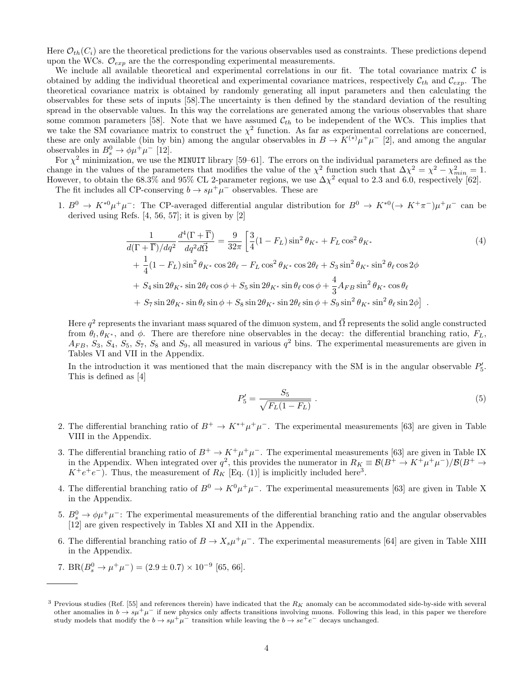Here  $\mathcal{O}_{th}(C_i)$  are the theoretical predictions for the various observables used as constraints. These predictions depend upon the WCs.  $\mathcal{O}_{exp}$  are the the corresponding experimental measurements.

We include all available theoretical and experimental correlations in our fit. The total covariance matrix  $\mathcal C$  is obtained by adding the individual theoretical and experimental covariance matrices, respectively  $\mathcal{C}_{th}$  and  $\mathcal{C}_{exp}$ . The theoretical covariance matrix is obtained by randomly generating all input parameters and then calculating the observables for these sets of inputs [58].The uncertainty is then defined by the standard deviation of the resulting spread in the observable values. In this way the correlations are generated among the various observables that share some common parameters [58]. Note that we have assumed  $\mathcal{C}_{th}$  to be independent of the WCs. This implies that we take the SM covariance matrix to construct the  $\chi^2$  function. As far as experimental correlations are concerned, these are only available (bin by bin) among the angular observables in  $B \to K^{(*)} \mu^+ \mu^-$  [2], and among the angular observables in  $B_s^0 \to \phi \mu^+ \mu^-$  [12].

For  $\chi^2$  minimization, we use the MINUIT library [59–61]. The errors on the individual parameters are defined as the change in the values of the parameters that modifies the value of the  $\chi^2$  function such that  $\Delta \chi^2 = \chi^2 - \chi^2_{min} = 1$ . However, to obtain the 68.3% and 95% CL 2-parameter regions, we use  $\Delta \chi^2$  equal to 2.3 and 6.0, respectively [62].

The fit includes all CP-conserving  $b \to s\mu^+\mu^-$  observables. These are

1.  $B^0 \to K^{*0} \mu^+ \mu^-$ : The CP-averaged differential angular distribution for  $B^0 \to K^{*0} (\to K^+ \pi^-) \mu^+ \mu^-$  can be derived using Refs. [4, 56, 57]; it is given by [2]

$$
\frac{1}{d(\Gamma + \overline{\Gamma})/dq^2} \frac{d^4(\Gamma + \overline{\Gamma})}{dq^2 d\overline{\Omega}} = \frac{9}{32\pi} \left[ \frac{3}{4} (1 - F_L) \sin^2 \theta_{K^*} + F_L \cos^2 \theta_{K^*} + \frac{1}{4} (1 - F_L) \sin^2 \theta_{K^*} \cos 2\theta_{\ell} - F_L \cos^2 \theta_{K^*} \cos 2\theta_{\ell} + S_3 \sin^2 \theta_{K^*} \sin^2 \theta_{\ell} \cos 2\phi + S_4 \sin 2\theta_{K^*} \sin 2\theta_{\ell} \cos \phi + S_5 \sin 2\theta_{K^*} \sin \theta_{\ell} \cos \phi + \frac{4}{3} A_{FB} \sin^2 \theta_{K^*} \cos \theta_{\ell} + S_7 \sin 2\theta_{K^*} \sin \theta_{\ell} \sin \phi + S_8 \sin 2\theta_{K^*} \sin 2\theta_{\ell} \sin \phi + S_9 \sin^2 \theta_{K^*} \sin^2 \theta_{\ell} \sin 2\phi \right].
$$
\n(4)

Here  $q^2$  represents the invariant mass squared of the dimuon system, and  $\vec{\Omega}$  represents the solid angle constructed from  $\theta_l, \theta_{K^*}$ , and  $\phi$ . There are therefore nine observables in the decay: the differential branching ratio,  $F_L$ ,  $A_{FB}, S_3, S_4, S_5, S_7, S_8$  and  $S_9$ , all measured in various  $q^2$  bins. The experimental measurements are given in Tables VI and VII in the Appendix.

In the introduction it was mentioned that the main discrepancy with the SM is in the angular observable  $P'_{5}$ . This is defined as [4]

$$
P_5' = \frac{S_5}{\sqrt{F_L(1 - F_L)}}.
$$
\n(5)

- 2. The differential branching ratio of  $B^+ \to K^{*+} \mu^+ \mu^-$ . The experimental measurements [63] are given in Table VIII in the Appendix.
- 3. The differential branching ratio of  $B^+ \to K^+ \mu^+ \mu^-$ . The experimental measurements [63] are given in Table IX in the Appendix. When integrated over  $q^2$ , this provides the numerator in  $R_K \equiv \mathcal{B}(B^+ \to K^+ \mu^+ \mu^-)/\mathcal{B}(B^+ \to K^- \mu^-)$  $K^+e^+e^-$ ). Thus, the measurement of  $R_K$  [Eq. (1)] is implicitly included here<sup>3</sup>.
- 4. The differential branching ratio of  $B^0 \to K^0 \mu^+ \mu^-$ . The experimental measurements [63] are given in Table X in the Appendix.
- 5.  $B^0_s \rightarrow \phi \mu^+ \mu^-$ : The experimental measurements of the differential branching ratio and the angular observables [12] are given respectively in Tables XI and XII in the Appendix.
- 6. The differential branching ratio of  $B \to X_s \mu^+ \mu^-$ . The experimental measurements [64] are given in Table XIII in the Appendix.
- 7. BR( $B_s^0 \to \mu^+\mu^-$ ) = (2.9 ± 0.7) × 10<sup>-9</sup> [65, 66].

<sup>&</sup>lt;sup>3</sup> Previous studies (Ref. [55] and references therein) have indicated that the  $R_K$  anomaly can be accommodated side-by-side with several other anomalies in  $b \to s\mu^+\mu^-$  if new physics only affects transitions involving muons. Following this lead, in this paper we therefore study models that modify the  $b \to s\mu^+\mu^-$  transition while leaving the  $b \to s e^+e^-$  decays unchanged.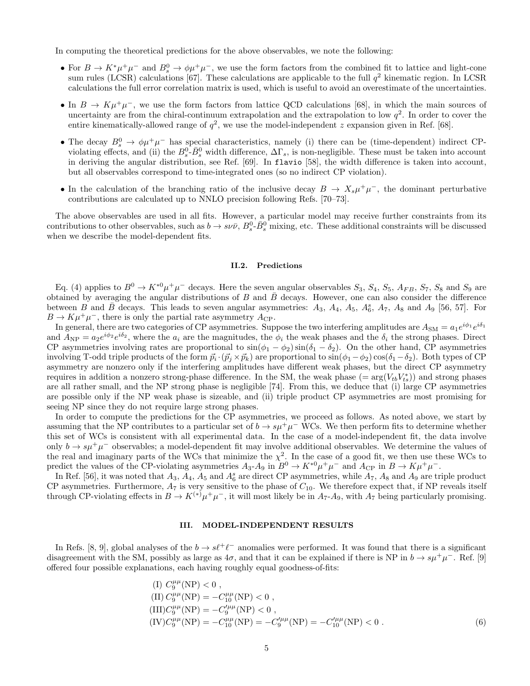In computing the theoretical predictions for the above observables, we note the following:

- For  $B \to K^* \mu^+ \mu^-$  and  $B_s^0 \to \phi \mu^+ \mu^-$ , we use the form factors from the combined fit to lattice and light-cone sum rules (LCSR) calculations [67]. These calculations are applicable to the full  $q^2$  kinematic region. In LCSR calculations the full error correlation matrix is used, which is useful to avoid an overestimate of the uncertainties.
- In  $B \to K\mu^+\mu^-$ , we use the form factors from lattice QCD calculations [68], in which the main sources of uncertainty are from the chiral-continuum extrapolation and the extrapolation to low  $q^2$ . In order to cover the entire kinematically-allowed range of  $q^2$ , we use the model-independent z expansion given in Ref. [68].
- The decay  $B_s^0 \to \phi \mu^+ \mu^-$  has special characteristics, namely (i) there can be (time-dependent) indirect CPviolating effects, and (ii) the  $B_s^0$ - $\bar{B}_s^0$  width difference,  $\Delta\Gamma_s$ , is non-negligible. These must be taken into account in deriving the angular distribution, see Ref. [69]. In flavio [58], the width difference is taken into account, but all observables correspond to time-integrated ones (so no indirect CP violation).
- In the calculation of the branching ratio of the inclusive decay  $B \to X_s \mu^+ \mu^-$ , the dominant perturbative contributions are calculated up to NNLO precision following Refs. [70–73].

The above observables are used in all fits. However, a particular model may receive further constraints from its contributions to other observables, such as  $b \to s \nu \bar{\nu}$ ,  $B_s^0$ - $\bar{B}_s^0$  mixing, etc. These additional constraints will be discussed when we describe the model-dependent fits.

#### II.2. Predictions

Eq. (4) applies to  $B^0 \to K^{*0} \mu^+ \mu^-$  decays. Here the seven angular observables  $S_3$ ,  $S_4$ ,  $S_5$ ,  $A_{FB}$ ,  $S_7$ ,  $S_8$  and  $S_9$  are obtained by averaging the angular distributions of B and  $\bar{B}$  decays. However, one can also consider the difference between  $\vec{B}$  and  $\vec{B}$  decays. This leads to seven angular asymmetries:  $A_3$ ,  $A_4$ ,  $A_5$ ,  $A_6^s$ ,  $A_7$ ,  $A_8$  and  $A_9$  [56, 57]. For  $B \to K \mu^+ \mu^-$ , there is only the partial rate asymmetry  $A_{\rm CP}$ .

In general, there are two categories of CP asymmetries. Suppose the two interfering amplitudes are  $A_{\rm SM} = a_1 e^{i\phi_1} e^{i\delta_1}$ and  $A_{\rm NP} = a_2 e^{i\phi_2} e^{i\delta_2}$ , where the  $a_i$  are the magnitudes, the  $\phi_i$  the weak phases and the  $\delta_i$  the strong phases. Direct CP asymmetries involving rates are proportional to  $\sin(\phi_1 - \phi_2) \sin(\delta_1 - \delta_2)$ . On the other hand, CP asymmetries involving T-odd triple products of the form  $\vec{p}_i \cdot (\vec{p}_j \times \vec{p}_k)$  are proportional to  $\sin(\phi_1 - \phi_2) \cos(\delta_1 - \delta_2)$ . Both types of CP asymmetry are nonzero only if the interfering amplitudes have different weak phases, but the direct CP asymmetry requires in addition a nonzero strong-phase difference. In the SM, the weak phase  $(=\arg(V_{tb}V_{ts}^*))$  and strong phases are all rather small, and the NP strong phase is negligible [74]. From this, we deduce that (i) large CP asymmetries are possible only if the NP weak phase is sizeable, and (ii) triple product CP asymmetries are most promising for seeing NP since they do not require large strong phases.

In order to compute the predictions for the CP asymmetries, we proceed as follows. As noted above, we start by assuming that the NP contributes to a particular set of  $b \to s\mu^+\mu^-$  WCs. We then perform fits to determine whether this set of WCs is consistent with all experimental data. In the case of a model-independent fit, the data involve only  $b \to s\mu^+\mu^-$  observables; a model-dependent fit may involve additional observables. We determine the values of the real and imaginary parts of the WCs that minimize the  $\chi^2$ . In the case of a good fit, we then use these WCs to predict the values of the CP-violating asymmetries  $A_3$ - $A_9$  in  $B^0 \to K^{*0} \mu^+ \mu^-$  and  $A_{\rm CP}$  in  $B \to K \mu^+ \mu^-$ .

In Ref. [56], it was noted that  $A_3$ ,  $A_4$ ,  $A_5$  and  $A_6^s$  are direct CP asymmetries, while  $A_7$ ,  $A_8$  and  $A_9$  are triple product CP asymmetries. Furthermore,  $A_7$  is very sensitive to the phase of  $C_{10}$ . We therefore expect that, if NP reveals itself through CP-violating effects in  $B \to K^{(*)} \mu^+ \mu^-$ , it will most likely be in  $A_7$ - $A_9$ , with  $A_7$  being particularly promising.

#### III. MODEL-INDEPENDENT RESULTS

In Refs. [8, 9], global analyses of the  $b \to s\ell^+\ell^-$  anomalies were performed. It was found that there is a significant disagreement with the SM, possibly as large as  $4\sigma$ , and that it can be explained if there is NP in  $b \to s\mu^+\mu^-$ . Ref. [9] offered four possible explanations, each having roughly equal goodness-of-fits:

(I) 
$$
C_9^{\mu\mu}(\text{NP}) < 0
$$
,  
\n(II)  $C_9^{\mu\mu}(\text{NP}) = -C_{10}^{\mu\mu}(\text{NP}) < 0$ ,  
\n(III)  $C_9^{\mu\mu}(\text{NP}) = -C_9^{\prime\mu\mu}(\text{NP}) < 0$ ,  
\n(IV)  $C_9^{\mu\mu}(\text{NP}) = -C_{10}^{\prime\mu\mu}(\text{NP}) = -C_9^{\prime\mu\mu}(\text{NP}) = -C_{10}^{\prime\mu\mu}(\text{NP}) < 0$ . (6)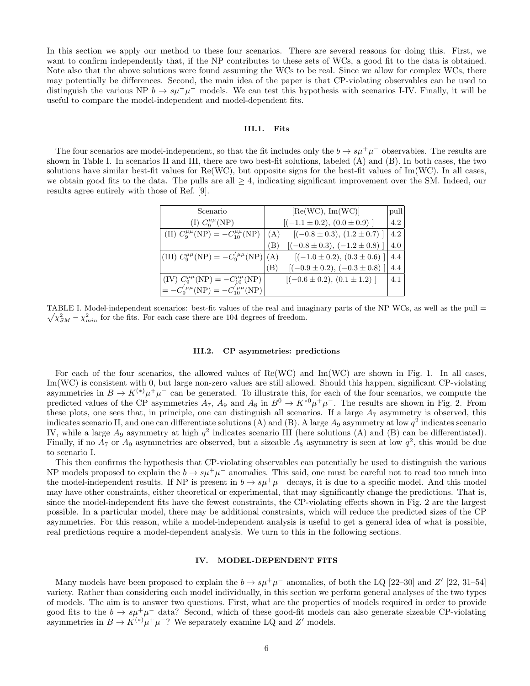In this section we apply our method to these four scenarios. There are several reasons for doing this. First, we want to confirm independently that, if the NP contributes to these sets of WCs, a good fit to the data is obtained. Note also that the above solutions were found assuming the WCs to be real. Since we allow for complex WCs, there may potentially be differences. Second, the main idea of the paper is that CP-violating observables can be used to distinguish the various NP  $b \to s\mu^+\mu^-$  models. We can test this hypothesis with scenarios I-IV. Finally, it will be useful to compare the model-independent and model-dependent fits.

#### III.1. Fits

The four scenarios are model-independent, so that the fit includes only the  $b \to s\mu^+\mu^-$  observables. The results are shown in Table I. In scenarios II and III, there are two best-fit solutions, labeled (A) and (B). In both cases, the two solutions have similar best-fit values for  $Re(WC)$ , but opposite signs for the best-fit values of  $Im(WC)$ . In all cases, we obtain good fits to the data. The pulls are all  $\geq 4$ , indicating significant improvement over the SM. Indeed, our results agree entirely with those of Ref. [9].

| Scenario                                                     | [Re(WC), Im(WC)]                          | pull |
|--------------------------------------------------------------|-------------------------------------------|------|
| (I) $C_9^{\mu\mu}(\text{NP})$                                | $[(-1.1 \pm 0.2), (0.0 \pm 0.9)]$         | 4.2  |
| (II) $C_9^{\mu\mu}(\text{NP}) = -C_{10}^{\mu\mu}(\text{NP})$ | $[(-0.8 \pm 0.3), (1.2 \pm 0.7)]$<br>(A)  | 4.2  |
|                                                              | $[(-0.8 \pm 0.3), (-1.2 \pm 0.8)]$<br>(B) | 4.0  |
| (III) $C_9^{\mu\mu}(\text{NP}) = -C_9^{'\mu\mu}(\text{NP})$  | $[(-1.0 \pm 0.2), (0.3 \pm 0.6)]$<br>(A)  | 4.4  |
|                                                              | $[(-0.9 \pm 0.2), (-0.3 \pm 0.8)]$<br>(B) | 4.4  |
| (IV) $C_9^{\mu\mu}(\text{NP}) = -C_{10}^{\mu\mu}(\text{NP})$ | $[(-0.6 \pm 0.2), (0.1 \pm 1.2)]$         | 4.1  |
| $= -C_0^{'\mu\mu}({\rm NP}) = -C_{10}^{'\mu\mu}({\rm NP})$   |                                           |      |

TABLE I. Model-independent scenarios: best-fit values of the real and imaginary parts of the NP WCs, as well as the pull =  $\sqrt{\chi_{SM}^2 - \chi_{min}^2}$  for the fits. For each case there are 104 degrees of freedom.

#### III.2. CP asymmetries: predictions

For each of the four scenarios, the allowed values of Re(WC) and Im(WC) are shown in Fig. 1. In all cases, Im(WC) is consistent with 0, but large non-zero values are still allowed. Should this happen, significant CP-violating asymmetries in  $B \to K^{(*)} \mu^+ \mu^-$  can be generated. To illustrate this, for each of the four scenarios, we compute the predicted values of the CP asymmetries  $A_7$ ,  $A_9$  and  $A_8$  in  $B^0 \to K^{*0} \mu^+ \mu^-$ . The results are shown in Fig. 2. From these plots, one sees that, in principle, one can distinguish all scenarios. If a large  $A<sub>7</sub>$  asymmetry is observed, this indicates scenario II, and one can differentiate solutions (A) and (B). A large  $A_9$  asymmetry at low  $q^2$  indicates scenario IV, while a large  $A_9$  asymmetry at high  $q^2$  indicates scenario III (here solutions (A) and (B) can be differentiated). Finally, if no  $A_7$  or  $A_9$  asymmetries are observed, but a sizeable  $A_8$  asymmetry is seen at low  $q^2$ , this would be due to scenario I.

This then confirms the hypothesis that CP-violating observables can potentially be used to distinguish the various NP models proposed to explain the  $b \to s\mu^+\mu^-$  anomalies. This said, one must be careful not to read too much into the model-independent results. If NP is present in  $b \to s\mu^+\mu^-$  decays, it is due to a specific model. And this model may have other constraints, either theoretical or experimental, that may significantly change the predictions. That is, since the model-independent fits have the fewest constraints, the CP-violating effects shown in Fig. 2 are the largest possible. In a particular model, there may be additional constraints, which will reduce the predicted sizes of the CP asymmetries. For this reason, while a model-independent analysis is useful to get a general idea of what is possible, real predictions require a model-dependent analysis. We turn to this in the following sections.

#### IV. MODEL-DEPENDENT FITS

Many models have been proposed to explain the  $b \to s\mu^+\mu^-$  anomalies, of both the LQ [22–30] and Z' [22, 31–54] variety. Rather than considering each model individually, in this section we perform general analyses of the two types of models. The aim is to answer two questions. First, what are the properties of models required in order to provide good fits to the  $b \to s\mu^+\mu^-$  data? Second, which of these good-fit models can also generate sizeable CP-violating asymmetries in  $B \to K^{(*)} \mu^+ \mu^-$ ? We separately examine LQ and Z' models.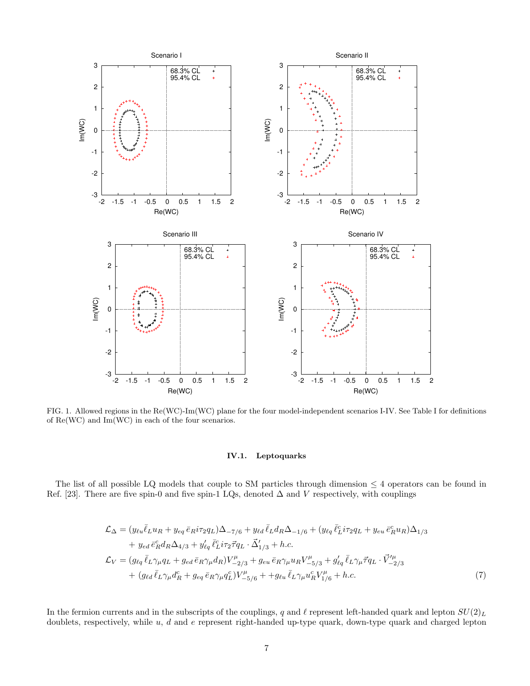

FIG. 1. Allowed regions in the Re(WC)-Im(WC) plane for the four model-independent scenarios I-IV. See Table I for definitions of Re(WC) and Im(WC) in each of the four scenarios.

#### IV.1. Leptoquarks

The list of all possible LQ models that couple to SM particles through dimension  $\leq 4$  operators can be found in Ref. [23]. There are five spin-0 and five spin-1 LQs, denoted  $\Delta$  and V respectively, with couplings

$$
\mathcal{L}_{\Delta} = (y_{\ell u} \bar{\ell}_L u_R + y_{eq} \bar{e}_R i \tau_2 q_L) \Delta_{-7/6} + y_{\ell d} \bar{\ell}_L d_R \Delta_{-1/6} + (y_{\ell q} \bar{\ell}_L^c i \tau_2 q_L + y_{eu} \bar{e}_R^c u_R) \Delta_{1/3} \n+ y_{ed} \bar{e}_R^c d_R \Delta_{4/3} + y'_{\ell q} \bar{\ell}_L^c i \tau_2 \bar{\tau} q_L \cdot \vec{\Delta}'_{1/3} + h.c.
$$
\n
$$
\mathcal{L}_V = (g_{\ell q} \bar{\ell}_L \gamma_\mu q_L + g_{ed} \bar{e}_R \gamma_\mu d_R) V_{-2/3}^\mu + g_{eu} \bar{e}_R \gamma_\mu u_R V_{-5/3}^\mu + g'_{\ell q} \bar{\ell}_L \gamma_\mu \bar{\tau} q_L \cdot \vec{V}^{\prime \mu}_{-2/3} + g'_{\ell d} \bar{\ell}_L \gamma_\mu d_R^c + g_{eq} \bar{e}_R \gamma_\mu q_L^c) V_{-5/6}^\mu + g_{eu} \bar{\ell}_L \gamma_\mu u_R^c V_{1/6}^\mu + h.c.
$$
\n(7)

In the fermion currents and in the subscripts of the couplings, q and  $\ell$  represent left-handed quark and lepton  $SU(2)_L$ doublets, respectively, while  $u$ ,  $d$  and  $e$  represent right-handed up-type quark, down-type quark and charged lepton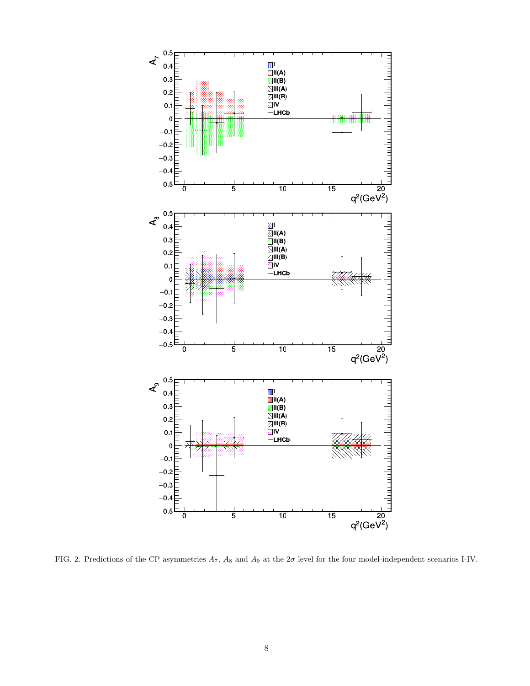

FIG. 2. Predictions of the CP asymmetries  $A_7$ ,  $A_8$  and  $A_9$  at the  $2\sigma$  level for the four model-independent scenarios I-IV.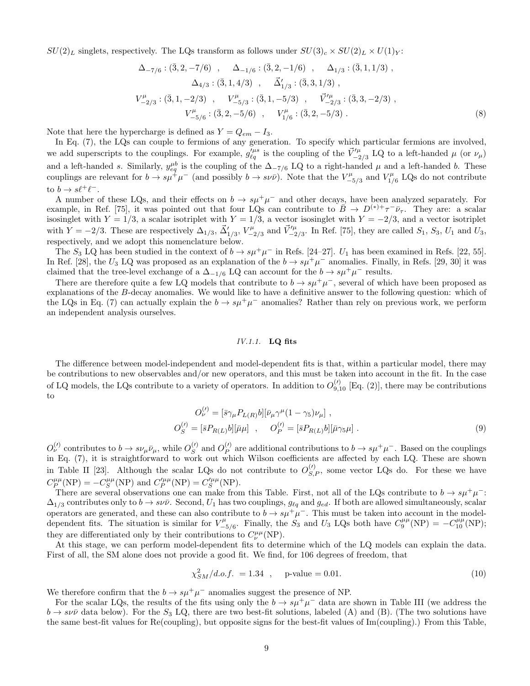$SU(2)_L$  singlets, respectively. The LQs transform as follows under  $SU(3)_c \times SU(2)_L \times U(1)_Y$ :

$$
\Delta_{-7/6} : (\bar{3}, 2, -7/6) , \quad \Delta_{-1/6} : (\bar{3}, 2, -1/6) , \quad \Delta_{1/3} : (\bar{3}, 1, 1/3) ,\n\Delta_{4/3} : (\bar{3}, 1, 4/3) , \quad \vec{\Delta}'_{1/3} : (\bar{3}, 3, 1/3) ,\nV^{\mu}_{-2/3} : (\bar{3}, 1, -2/3) , \quad V^{\mu}_{-5/3} : (\bar{3}, 1, -5/3) , \quad \vec{V}^{\mu}_{-2/3} : (\bar{3}, 3, -2/3) ,\nV^{\mu}_{-5/6} : (\bar{3}, 2, -5/6) , \quad V^{\mu}_{1/6} : (\bar{3}, 2, -5/3) .
$$
\n(8)

Note that here the hypercharge is defined as  $Y = Q_{em} - I_3$ .

In Eq. (7), the LQs can couple to fermions of any generation. To specify which particular fermions are involved, we add superscripts to the couplings. For example,  $g_{\ell q}^{\prime \mu s}$  is the coupling of the  $\vec{V}^{\prime \mu}_{-2/3}$  LQ to a left-handed  $\mu$  (or  $\nu_{\mu}$ ) and a left-handed s. Similarly,  $y_{eq}^{\mu b}$  is the coupling of the  $\Delta_{-7/6}$  LQ to a right-handed  $\mu$  and a left-handed b. These couplings are relevant for  $b \to s\mu^+\mu^-$  (and possibly  $b \to s\nu\bar{\nu}$ ). Note that the  $V_{-}^{\mu}$  $V_{-5/3}^{\mu}$  and  $V_{1/3}^{\mu}$  $L_{1/6}^{\mu}$  LQs do not contribute to  $b \to s\ell^+\ell^-$ .

A number of these LQs, and their effects on  $b \to s\mu^+\mu^-$  and other decays, have been analyzed separately. For example, in Ref. [75], it was pointed out that four LQs can contribute to  $\overline{B} \to D^{(*)+} \tau^- \overline{\nu}_{\tau}$ . They are: a scalar isosinglet with  $Y = 1/3$ , a scalar isotriplet with  $Y = 1/3$ , a vector isosinglet with  $Y = -2/3$ , and a vector isotriplet with  $Y = -2/3$ . These are respectively  $\Delta_{1/3}$ ,  $\vec{\Delta}'_{1/3}$ ,  $V^{\mu}_{-3}$  $\vec{V}_{-2/3}^{\mu}$  and  $\vec{V}_{-2/3}^{\prime\mu}$ . In Ref. [75], they are called  $S_1$ ,  $S_3$ ,  $U_1$  and  $U_3$ , respectively, and we adopt this nomenclature below.

The  $S_3$  LQ has been studied in the context of  $b \to s\mu^+\mu^-$  in Refs. [24–27].  $U_1$  has been examined in Refs. [22, 55]. In Ref. [28], the U<sub>3</sub> LQ was proposed as an explanation of the  $b \to s\mu^+\mu^-$  anomalies. Finally, in Refs. [29, 30] it was claimed that the tree-level exchange of a  $\Delta_{-1/6}$  LQ can account for the  $b \to s\mu^+\mu^-$  results.

There are therefore quite a few LQ models that contribute to  $b \to s\mu^+\mu^-$ , several of which have been proposed as explanations of the B-decay anomalies. We would like to have a definitive answer to the following question: which of the LQs in Eq. (7) can actually explain the  $b \to s\mu^+\mu^-$  anomalies? Rather than rely on previous work, we perform an independent analysis ourselves.

#### IV.1.1. LQ fits

The difference between model-independent and model-dependent fits is that, within a particular model, there may be contributions to new observables and/or new operators, and this must be taken into account in the fit. In the case of LQ models, the LQs contribute to a variety of operators. In addition to  $O_{9,10}^{(l)}$  [Eq. (2)], there may be contributions to

$$
O_{\nu}^{(\prime)} = [\bar{s}\gamma_{\mu}P_{L(R)}b][\bar{\nu}_{\mu}\gamma^{\mu}(1-\gamma_{5})\nu_{\mu}],
$$
  
\n
$$
O_{S}^{(\prime)} = [\bar{s}P_{R(L)}b][\bar{\mu}\mu], \qquad O_{P}^{(\prime)} = [\bar{s}P_{R(L)}b][\bar{\mu}\gamma_{5}\mu].
$$
\n(9)

 $O_{\nu}^{(l)}$  contributes to  $b \to s\nu_{\mu}\bar{\nu}_{\mu}$ , while  $O_{S}^{(l)}$  $S^{(t)}$  and  $O_P^{(t)}$  $P_{P}^{(l)}$  are additional contributions to  $b \to s\mu^{+}\mu^{-}$ . Based on the couplings in Eq. (7), it is straightforward to work out which Wilson coefficients are affected by each LQ. These are shown in Table II [23]. Although the scalar LQs do not contribute to  $O_{S,P}^{(\prime)}$ , some vector LQs do. For these we have  $C_P^{\mu\mu}(\text{NP}) = -C_S^{\mu\mu}(\text{NP})$  and  $C_P^{\prime\mu\mu}(\text{NP}) = C_S^{\prime\mu\mu}(\text{NP}).$ 

There are several observations one can make from this Table. First, not all of the LQs contribute to  $b \to s\mu^+\mu^-$ :  $\Delta_{1/3}$  contributes only to  $b \to s\nu\bar{\nu}$ . Second,  $U_1$  has two couplings,  $g_{\ell q}$  and  $g_{ed}$ . If both are allowed simultaneously, scalar operators are generated, and these can also contribute to  $b \to s\mu^+\mu^-$ . This must be taken into account in the modeldependent fits. The situation is similar for  $V_{\perp}^{\mu}$ <sup> $\mu$ </sup><sub>-5/6</sub>. Finally, the  $S_3$  and  $U_3$  LQs both have  $C_9^{\mu\mu}(\text{NP}) = -C_{10}^{\mu\mu}(\text{NP});$ they are differentiated only by their contributions to  $C^{\mu\mu}_{\nu}(NP)$ .

At this stage, we can perform model-dependent fits to determine which of the LQ models can explain the data. First of all, the SM alone does not provide a good fit. We find, for 106 degrees of freedom, that

$$
\chi_{SM}^2/d.o.f. = 1.34 , \quad \text{p-value} = 0.01. \tag{10}
$$

We therefore confirm that the  $b \to s\mu^+\mu^-$  anomalies suggest the presence of NP.

For the scalar LQs, the results of the fits using only the  $b \to s\mu^+\mu^-$  data are shown in Table III (we address the  $b \to s\nu\bar{\nu}$  data below). For the  $S_3$  LQ, there are two best-fit solutions, labeled (A) and (B). (The two solutions have the same best-fit values for Re(coupling), but opposite signs for the best-fit values of Im(coupling).) From this Table,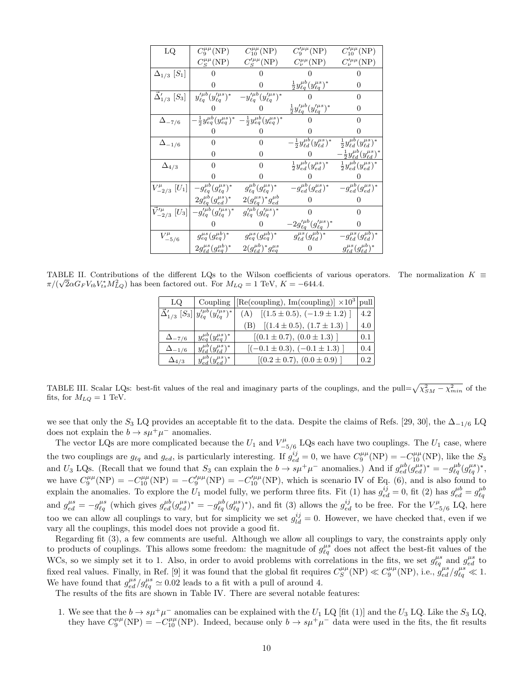| LQ                                             | $C_9^{\mu\mu}(\text{NP})$                      | $C_{10}^{\mu\mu}(\mathrm{NP})$                                                                | $C_9^{\prime \mu \mu}(\text{NP})$                         | $C_{10}^{\prime\mu\mu}({\rm NP})$                       |
|------------------------------------------------|------------------------------------------------|-----------------------------------------------------------------------------------------------|-----------------------------------------------------------|---------------------------------------------------------|
|                                                | $C_S^{\mu\mu}(\text{NP})$                      | $C_S^{\prime\mu\mu}(\text{NP})$                                                               | $C^{\mu\mu}_{\nu}(\text{NP})$                             | $C^{\prime\mu\mu}_{\nu}(NP)$                            |
| $\Delta_{1/3}$ [S <sub>1</sub> ]               |                                                |                                                                                               |                                                           |                                                         |
|                                                |                                                |                                                                                               | $\frac{1}{2} y_{\ell q}^{\mu b} (y_{\ell q}^{\mu s})^*$   | 0                                                       |
| $\vec{\Delta}'_{1/3}$ [S <sub>3</sub> ]        | $y'^{\mu b}_{\ell q} (y'^{\mu s}_{\ell q})^*$  | $-y'^{\mu b}_{\ell q} (y'^{\mu s}_{\ell q})^*$                                                |                                                           | 0                                                       |
|                                                |                                                |                                                                                               | $\frac{1}{2}y'^{\mu b}_{\ell q}(y'^{\mu s}_{\ell q})^*$   | $\theta$                                                |
| $\Delta_{-7/6}$                                |                                                | $-\frac{1}{2}y_{eq}^{\mu b}(y_{eq}^{\mu s})^*$ $-\frac{1}{2}y_{eq}^{\mu b}(y_{eq}^{\mu s})^*$ |                                                           | 0                                                       |
|                                                |                                                |                                                                                               |                                                           |                                                         |
| $\Delta_{-1/6}$                                | 0                                              |                                                                                               | $-\frac{1}{2}y_{\ell d}^{\mu b}(y_{\ell d}^{\mu s})^{*}$  | $\frac{1}{2} y_{\ell d}^{\mu b} (y_{\ell d}^{\mu s})^*$ |
|                                                |                                                |                                                                                               |                                                           | $-\frac{1}{2}y^{\mu b}_{\ell d}(y^{\mu s}_{\ell d})^*$  |
| $\Delta_{4/3}$                                 | 0                                              | $\Omega$                                                                                      | $\frac{1}{2}y^{\mu b}_{ed}(y^{\mu s}_{ed})^*$             | $\frac{1}{2} y^{\mu b}_{ed} (y^{\mu s}_{ed})^*$         |
|                                                |                                                |                                                                                               |                                                           |                                                         |
| $V^{\mu}_{-2/3}$ [U <sub>1</sub> ]             | $-g_{\ell q}^{\mu b}(g_{\ell q}^{\mu s})^*$    | $g_{\ell q}^{\mu b}(g_{\ell q}^{\mu s})^*$                                                    | $-g_{ed}^{\mu b}(g_{ed}^{\mu s})^*$                       | $-g_{ed}^{\mu b}(g_{ed}^{\mu s})^*$                     |
|                                                | $2g_{\ell q}^{\mu b}(g_{ed}^{\mu s})^{*}$      | $2(g_{\ell q}^{\mu s})^* g_{ed}^{\mu b}$                                                      |                                                           |                                                         |
| $\vec{V}^{\prime\mu}_{-2/3}$ [U <sub>3</sub> ] | $-g'^{\mu b}_{\ell q} (g'^{\mu s}_{\ell q})^*$ | $g'^{\mu b}_{\ell q} (g'^{\mu s}_{\ell q})^*$                                                 | 0                                                         |                                                         |
|                                                |                                                |                                                                                               | $-2g^{\prime\mu b}_{\ell q} (g^{\prime\mu s}_{\ell q})^*$ | $\theta$                                                |
| $V^{\mu}_{-5/6}$                               | $g_{eq}^{\mu s}(g_{eq}^{\mu b})^*$             | $g_{eq}^{\mu s}(g_{eq}^{\mu b})^*$                                                            | $g_{\ell d}^{\mu s}(g_{\ell d}^{\mu b})^*$                | $-g_{\ell d}^{\mu s}(g_{\ell d}^{\mu b})^*$             |
|                                                | $2g^{\mu s}_{\ell d} (g^{\mu b}_{eq})^*$       | $2(g_{\ell d}^{\mu b})^*g_{eq}^{\mu s}$                                                       |                                                           | $g_{\ell d}^{\mu s}(g_{\ell d}^{\mu b})^*$              |

TABLE II. Contributions of the different LQs to the Wilson coefficients of various operators. The normalization  $K \equiv$  $\pi/(\sqrt{2}\alpha G_F V_{tb} V_{ts} M_{LQ}^2)$  has been factored out. For  $M_{LQ} = 1$  TeV,  $K = -644.4$ .

| LQ.             |                                                                             | Coupling $\left \left[Re(coupling), Im(coupling)\right] \times 10^3\right $ pull |                  |
|-----------------|-----------------------------------------------------------------------------|----------------------------------------------------------------------------------|------------------|
|                 | $\vec{\Delta}_{1/3}'$ $[S_3]$ $y'^{\mu b}_{\ell q} (y'^{\mu s}_{\ell q})^*$ | (A) $[(1.5 \pm 0.5), (-1.9 \pm 1.2)]$                                            | 4.2 <sub>1</sub> |
|                 |                                                                             | $[(1.4 \pm 0.5), (1.7 \pm 1.3)]$<br>(B)                                          | 4.0              |
| $\Delta_{-7/6}$ | $y_{eq}^{\mu b}(y_{eq}^{\mu s})^*$                                          | $[(0.1 \pm 0.7), (0.0 \pm 1.3)]$                                                 | 0.1              |
| $\Delta_{-1/6}$ | $y_{\ell d}^{\mu b} (y_{\ell d}^{\mu s})^*$                                 | $[(-0.1 \pm 0.3), (-0.1 \pm 1.3)]$                                               | 0.4              |
| $\Delta_{4/3}$  | $y_{ed}^{\mu b}(y_{ed}^{\mu s})^*$                                          | $[(0.2 \pm 0.7), (0.0 \pm 0.9)]$                                                 | 02               |

TABLE III. Scalar LQs: best-fit values of the real and imaginary parts of the couplings, and the pull= $\sqrt{\chi_{SM}^2 - \chi_{min}^2}$  of the fits, for  $M_{LQ} = 1$  TeV.

we see that only the  $S_3$  LQ provides an acceptable fit to the data. Despite the claims of Refs. [29, 30], the  $\Delta_{-1/6}$  LQ does not explain the  $b \to s\mu^+\mu^-$  anomalies.

The vector LQs are more complicated because the  $U_1$  and  $V_{-1}^{\mu}$  $\frac{L}{L_{5}}$  LQs each have two couplings. The  $U_1$  case, where the two couplings are  $g_{\ell q}$  and  $g_{ed}$ , is particularly interesting. If  $g_{ed}^{ij} = 0$ , we have  $C_9^{\mu\mu}(NP) = -C_{10}^{\mu\mu}(NP)$ , like the  $S_3$ and  $U_3$  LQs. (Recall that we found that  $S_3$  can explain the  $b \to s\mu^+\mu^-$  anomalies.) And if  $g_{ed}^{\mu b}(g_{ed}^{\mu s})^* = -g_{\ell q}^{\mu b}(g_{\ell q}^{\mu s})^*$ , we have  $C_9^{\mu\mu}(\text{NP}) = -C_{10}^{\mu\mu}(\text{NP}) = -C_{9}^{\prime\mu\mu}(\text{NP}) = -C_{10}^{\prime\mu}(\text{NP})$ , which is scenario IV of Eq. (6), and is also found to explain the anomalies. To explore the  $U_1$  model fully, we perform three fits. Fit (1) has  $g_{ed}^{ij} = 0$ , fit (2) has  $g_{ed}^{\mu b} = g_{\ell q}^{\mu b}$ and  $g_{ed}^{\mu s} = -g_{\ell q}^{\mu s}$  (which gives  $g_{ed}^{\mu b}(g_{ed}^{\mu s})^* = -g_{\ell q}^{\mu b}(g_{\ell q}^{\mu s})^*$ ), and fit (3) allows the  $g_{ed}^{ij}$  to be free. For the  $V_{-i}^{\mu b}$ −5/6 LQ, here too we can allow all couplings to vary, but for simplicity we set  $g_{ld}^{ij} = 0$ . However, we have checked that, even if we vary all the couplings, this model does not provide a good fit.

Regarding fit (3), a few comments are useful. Although we allow all couplings to vary, the constraints apply only to products of couplings. This allows some freedom: the magnitude of  $g_{\ell q}^{\mu s}$  does not affect the best-fit values of the WCs, so we simply set it to 1. Also, in order to avoid problems with correlations in the fits, we set  $g_{\ell q}^{\mu s}$  and  $g_{ed}^{\mu s}$  to fixed real values. Finally, in Ref. [9] it was found that the global fit requires  $C_S^{\mu\mu}(NP) \ll C_9^{\mu\mu}(NP)$ , i.e.,  $g_{ed}^{\mu s}/g_{\ell q}^{\mu s} \ll 1$ . We have found that  $g_{ed}^{\mu s}/g_{\ell q}^{\mu s} \simeq 0.02$  leads to a fit with a pull of around 4.

The results of the fits are shown in Table IV. There are several notable features:

1. We see that the  $b \to s\mu^+\mu^-$  anomalies can be explained with the  $U_1$  LQ [fit (1)] and the  $U_3$  LQ. Like the  $S_3$  LQ, they have  $C_9^{\mu\mu}(\text{NP}) = -C_{10}^{\mu\mu}(\text{NP})$ . Indeed, because only  $b \to s\mu^+\mu^-$  data were used in the fits, the fit results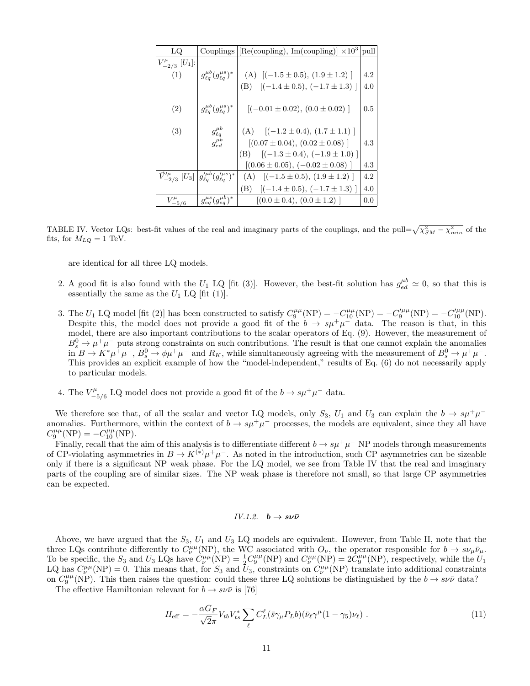| LQ.                                 | Couplings                                                                                     | $\left \frac{\text{Re}(\text{coupling})}{\text{Re}(\text{coupling})}\right  \times 10^3 \text{  pull} $ |         |
|-------------------------------------|-----------------------------------------------------------------------------------------------|---------------------------------------------------------------------------------------------------------|---------|
| $V_{-2/3}^{\mu}$ [U <sub>1</sub> ]: |                                                                                               |                                                                                                         |         |
| (1)                                 | $g_{\ell a}^{\mu b}(g_{\ell a}^{\mu s})^*$                                                    | (A) $[(-1.5 \pm 0.5), (1.9 \pm 1.2)]$                                                                   | 4.2     |
|                                     |                                                                                               | (B) $[(-1.4 \pm 0.5), (-1.7 \pm 1.3)]$                                                                  | 4.0     |
| (2)                                 | $g_{\ell a}^{\mu b}(g_{\ell a}^{\mu s})^*$                                                    | $[(-0.01 \pm 0.02), (0.0 \pm 0.02)]$                                                                    | $0.5\,$ |
| (3)                                 | $g_{\ell q}^{\mu b}$                                                                          | (A) $[(-1.2 \pm 0.4), (1.7 \pm 1.1)]$                                                                   |         |
|                                     | $g_{ed}^{\mu b}$                                                                              | $[(0.07 \pm 0.04), (0.02 \pm 0.08)]$                                                                    | 4.3     |
|                                     |                                                                                               | (B) $[(-1.3 \pm 0.4), (-1.9 \pm 1.0)]$                                                                  |         |
|                                     |                                                                                               | $[(0.06 \pm 0.05), (-0.02 \pm 0.08)]$                                                                   | 4.3     |
|                                     | $\vec{V}^{\prime\mu}_{-2/3}$ $[U_3]$ $ g^{\prime\mu b}_{\ell q} (g^{\prime\mu s}_{\ell q})^*$ | (A) $[(-1.5 \pm 0.5), (1.9 \pm 1.2)]$                                                                   | 4.2     |
|                                     |                                                                                               | $[(-1.4 \pm 0.5), (-1.7 \pm 1.3)]$<br>(B)                                                               | 4.0     |
| $V_{-5/6}^\mu$                      | $g_{eq}^{\mu s}(g_{eq}^{\mu b})^*$                                                            | $[(0.0 \pm 0.4), (0.0 \pm 1.2)]$                                                                        | 0.0     |

TABLE IV. Vector LQs: best-fit values of the real and imaginary parts of the couplings, and the pull= $\sqrt{\chi^2_{SM} - \chi^2_{min}}$  of the fits, for  $M_{LQ} = 1$  TeV.

are identical for all three LQ models.

- 2. A good fit is also found with the  $U_1$  LQ [fit (3)]. However, the best-fit solution has  $g_{ed}^{\mu b} \approx 0$ , so that this is essentially the same as the  $U_1$  LQ [fit (1)].
- 3. The  $U_1$  LQ model [fit (2)] has been constructed to satisfy  $C_9^{\mu\mu}(\text{NP}) = -C_{10}^{\mu\mu}(\text{NP}) = -C_9^{\prime\mu\mu}(\text{NP}) = -C_{10}^{\prime\mu\mu}(\text{NP})$ . Despite this, the model does not provide a good fit of the  $b \to s\mu^+\mu^-$  data. The reason is that, in this model, there are also important contributions to the scalar operators of Eq. (9). However, the measurement of  $B^0_s \to \mu^+ \mu^-$  puts strong constraints on such contributions. The result is that one cannot explain the anomalies  $\lim_{\Delta B \to \infty} B \to K^* \mu^+ \mu^-$ ,  $B_s^0 \to \phi \mu^+ \mu^-$  and  $R_K$ , while simultaneously agreeing with the measurement of  $B_s^0 \to \mu^+ \mu^-$ . This provides an explicit example of how the "model-independent," results of Eq. (6) do not necessarily apply to particular models.
- 4. The  $V_{-}^{\mu}$ <sup> $\mu^{\mu}_{-5/6}$ </sup> LQ model does not provide a good fit of the  $b \to s\mu^+\mu^-$  data.

We therefore see that, of all the scalar and vector LQ models, only  $S_3$ ,  $U_1$  and  $U_3$  can explain the  $b \to s\mu^+\mu^$ anomalies. Furthermore, within the context of  $b \to s\mu^+\mu^-$  processes, the models are equivalent, since they all have  $C_9^{\mu\mu}({\rm NP}) = -C_{10}^{\mu\mu}({\rm NP}).$ 

Finally, recall that the aim of this analysis is to differentiate different  $b \to s\mu^+\mu^-$  NP models through measurements of CP-violating asymmetries in  $B \to K^{(*)} \mu^+ \mu^-$ . As noted in the introduction, such CP asymmetries can be sizeable only if there is a significant NP weak phase. For the LQ model, we see from Table IV that the real and imaginary parts of the coupling are of similar sizes. The NP weak phase is therefore not small, so that large CP asymmetries can be expected.

#### IV.1.2.  $b \rightarrow s \nu \bar{\nu}$

Above, we have argued that the  $S_3$ ,  $U_1$  and  $U_3$  LQ models are equivalent. However, from Table II, note that the three LQs contribute differently to  $C^{\mu\mu}_{\nu}(NP)$ , the WC associated with  $O_{\nu}$ , the operator responsible for  $b \to s\nu_{\mu}\bar{\nu}_{\mu}$ . To be specific, the  $S_3$  and  $U_3$  LQs have  $\hat{C}^{\mu\mu}_{\nu}(\text{NP}) = \frac{1}{2} C_9^{\mu\mu}(\text{NP})$  and  $C^{\mu\mu}_{\nu}(\text{NP}) = 2\hat{C}_9^{\mu\mu}(\text{NP})$ , respectively, while the  $U_1$ LQ has  $C^{\mu\mu}_{\nu}(NP) = 0$ . This means that, for  $S_3$  and  $\bar{U}_3$ , constraints on  $C^{\mu\mu}_{\nu}(NP)$  translate into additional constraints on  $C_9^{\mu\mu}(\text{NP})$ . This then raises the question: could these three LQ solutions be distinguished by the  $b \to s\nu\bar{\nu}$  data?

The effective Hamiltonian relevant for  $b \to s \nu \bar{\nu}$  is [76]

$$
H_{\text{eff}} = -\frac{\alpha G_F}{\sqrt{2}\pi} V_{tb} V_{ts}^* \sum_{\ell} C_L^{\ell} (\bar{s} \gamma_{\mu} P_L b) (\bar{\nu}_{\ell} \gamma^{\mu} (1 - \gamma_5) \nu_{\ell}). \tag{11}
$$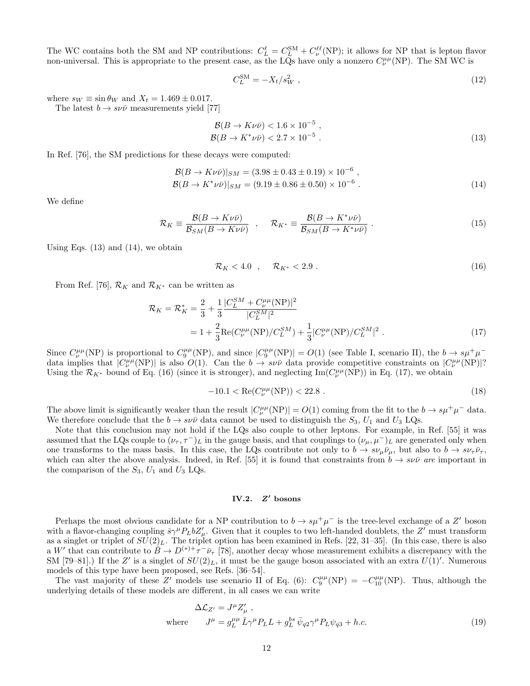The WC contains both the SM and NP contributions:  $C_L^{\ell} = C_L^{SM} + C_{\nu}^{\ell\ell}(NP)$ ; it allows for NP that is lepton flavor non-universal. This is appropriate to the present case, as the LQs have only a nonzero  $C^{\mu\mu}_{\nu}(NP)$ . The SM WC is

$$
C_L^{\rm SM} = -X_t/s_W^2 \t\t(12)
$$

where  $s_W \equiv \sin \theta_W$  and  $X_t = 1.469 \pm 0.017$ .

The latest  $b \to s \nu \bar{\nu}$  measurements yield [77]

$$
\mathcal{B}(B \to K \nu \bar{\nu}) < 1.6 \times 10^{-5} \,, \n\mathcal{B}(B \to K^* \nu \bar{\nu}) < 2.7 \times 10^{-5} \,. \tag{13}
$$

In Ref. [76], the SM predictions for these decays were computed:

$$
\mathcal{B}(B \to K \nu \bar{\nu})|_{SM} = (3.98 \pm 0.43 \pm 0.19) \times 10^{-6}, \n\mathcal{B}(B \to K^* \nu \bar{\nu})|_{SM} = (9.19 \pm 0.86 \pm 0.50) \times 10^{-6}.
$$
\n(14)

We define

$$
\mathcal{R}_K \equiv \frac{\mathcal{B}(B \to K \nu \bar{\nu})}{\mathcal{B}_{SM}(B \to K \nu \bar{\nu})} \quad , \quad \mathcal{R}_{K^*} \equiv \frac{\mathcal{B}(B \to K^* \nu \bar{\nu})}{\mathcal{B}_{SM}(B \to K^* \nu \bar{\nu})} \ . \tag{15}
$$

Using Eqs.  $(13)$  and  $(14)$ , we obtain

$$
\mathcal{R}_K < 4.0 \quad , \quad \mathcal{R}_{K^*} < 2.9 \tag{16}
$$

From Ref. [76],  $\mathcal{R}_K$  and  $\mathcal{R}_{K^*}$  can be written as

$$
\mathcal{R}_K = \mathcal{R}_K^* = \frac{2}{3} + \frac{1}{3} \frac{|C_L^{SM} + C_L^{\mu \mu} (NP)|^2}{|C_L^{SM}|^2}
$$
  
=  $1 + \frac{2}{3} \text{Re}(C_{\nu}^{\mu \mu} (NP)/C_L^{SM}) + \frac{1}{3} |C_{\nu}^{\mu \mu} (NP)/C_L^{SM}|^2$ . (17)

Since  $C^{\mu\mu}_{\nu}(NP)$  is proportional to  $C^{\mu\mu}_{9}(NP)$ , and since  $|C^{\mu\mu}_{9}(NP)| = O(1)$  (see Table I, scenario II), the  $b \to s\mu^{+}\mu^{-}$ data implies that  $|C^{\mu\mu}_{\nu}(NP)|$  is also  $O(1)$ . Can the  $b \to s\nu\bar{\nu}$  data provide competitive constraints on  $|C^{\mu\mu}_{\nu}(NP)|$ ? Using the  $\mathcal{R}_{K^*}$  bound of Eq. (16) (since it is stronger), and neglecting  $\text{Im}(C^{\mu\mu}_{\nu}(NP))$  in Eq. (17), we obtain

$$
-10.1 < \operatorname{Re}(C^{\mu\mu}_{\nu}(\text{NP})) < 22.8 \tag{18}
$$

The above limit is significantly weaker than the result  $|C^{\mu\mu}_{\nu}(\text{NP})| = O(1)$  coming from the fit to the  $b \to s\mu^{+}\mu^{-}$  data. We therefore conclude that the  $b \to s\nu\bar{\nu}$  data cannot be used to distinguish the  $S_3$ ,  $U_1$  and  $U_3$  LQs.

Note that this conclusion may not hold if the LQs also couple to other leptons. For example, in Ref. [55] it was assumed that the LQs couple to  $(\nu_{\tau}, \tau^{-})_L$  in the gauge basis, and that couplings to  $(\nu_{\mu}, \mu^{-})_L$  are generated only when one transforms to the mass basis. In this case, the LQs contribute not only to  $b \to s\nu_\mu\bar{\nu}_\mu$ , but also to  $b \to s\nu_\tau\bar{\nu}_\tau$ , which can alter the above analysis. Indeed, in Ref. [55] it is found that constraints from  $b \to s \nu \bar{\nu}$  are important in the comparison of the  $S_3$ ,  $U_1$  and  $U_3$  LQs.

#### IV.2. Z ′ bosons

Perhaps the most obvious candidate for a NP contribution to  $b \to s\mu^+\mu^-$  is the tree-level exchange of a Z' boson with a flavor-changing coupling  $\bar{s}\gamma^{\mu}P_LbZ'_{\mu}$ . Given that it couples to two left-handed doublets, the Z' must transform as a singlet or triplet of  $SU(2)_L$ . The triplet option has been examined in Refs. [22, 31–35]. (In this case, there is also a W' that can contribute to  $B \to D^{(*)+} \tau^- \bar{\nu}_{\tau}$  [78], another decay whose measurement exhibits a discrepancy with the SM [79-81].) If the Z' is a singlet of  $SU(2)_L$ , it must be the gauge boson associated with an extra  $U(1)'$ . Numerous models of this type have been proposed, see Refs. [36–54].

The vast majority of these Z' models use scenario II of Eq. (6):  $C_9^{\mu\mu}(NP) = -C_{10}^{\mu\mu}(NP)$ . Thus, although the underlying details of these models are different, in all cases we can write

$$
\Delta \mathcal{L}_{Z'} = J^{\mu} Z'_{\mu} ,
$$
  
where 
$$
J^{\mu} = g_L^{\mu \mu} \bar{L} \gamma^{\mu} P_L L + g_L^{bs} \bar{\psi}_{q2} \gamma^{\mu} P_L \psi_{q3} + h.c.
$$
 (19)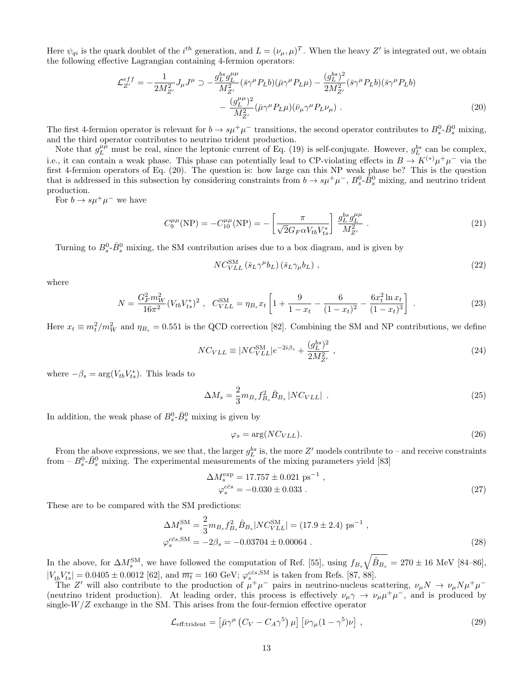Here  $\psi_{qi}$  is the quark doublet of the  $i^{th}$  generation, and  $L = (\nu_{\mu}, \mu)^T$ . When the heavy Z' is integrated out, we obtain the following effective Lagrangian containing 4-fermion operators:

$$
\mathcal{L}_{Z'}^{eff} = -\frac{1}{2M_{Z'}^2} J_{\mu} J^{\mu} \supset -\frac{g_L^{bs} g_L^{\mu\mu}}{M_{Z'}^2} (\bar{s} \gamma^{\mu} P_L b)(\bar{\mu} \gamma^{\mu} P_L \mu) - \frac{(g_L^{bs})^2}{2M_{Z'}^2} (\bar{s} \gamma^{\mu} P_L b)(\bar{s} \gamma^{\mu} P_L b) - \frac{(g_L^{\mu\mu})^2}{M_{Z'}^2} (\bar{\mu} \gamma^{\mu} P_L \mu)(\bar{\nu}_{\mu} \gamma^{\mu} P_L \nu_{\mu}). \tag{20}
$$

The first 4-fermion operator is relevant for  $b \to s\mu^+\mu^-$  transitions, the second operator contributes to  $B_s^0$ - $\bar{B}_s^0$  mixing, and the third operator contributes to neutrino trident production.

Note that  $g_L^{\mu\bar{\mu}}$  must be real, since the leptonic current of Eq. (19) is self-conjugate. However,  $g_L^{bs}$  can be complex, i.e., it can contain a weak phase. This phase can potentially lead to CP-violating effects in  $B \to K^{(*)} \mu^+ \mu^-$  via the first 4-fermion operators of Eq. (20). The question is: how large can this NP weak phase be? This is the question that is addressed in this subsection by considering constraints from  $b \to s\mu^+\mu^-$ ,  $B_s^0$ - $\bar{B}_s^0$  mixing, and neutrino trident production.

For  $b \to s\mu^+\mu^-$  we have

$$
C_9^{\mu\mu}(\text{NP}) = -C_{10}^{\mu\mu}(\text{NP}) = -\left[\frac{\pi}{\sqrt{2}G_F\alpha V_{tb}V_{ts}^*}\right] \frac{g_L^{bs}g_L^{\mu\mu}}{M_{Z'}^2} \,. \tag{21}
$$

Turning to  $B_s^0$ - $\bar{B}_s^0$  mixing, the SM contribution arises due to a box diagram, and is given by

$$
NC_{VLL}^{\text{SM}}\left(\bar{s}_L\gamma^\mu b_L\right)\left(\bar{s}_L\gamma_\mu b_L\right)\,,\tag{22}
$$

where

$$
N = \frac{G_F^2 m_W^2}{16\pi^2} (V_{tb} V_{ts}^*)^2 \ , \quad C_{VLL}^{\text{SM}} = \eta_{Bs} x_t \left[ 1 + \frac{9}{1 - x_t} - \frac{6}{(1 - x_t)^2} - \frac{6x_t^2 \ln x_t}{(1 - x_t)^3} \right] \ . \tag{23}
$$

Here  $x_t \equiv m_t^2/m_W^2$  and  $\eta_{B_s} = 0.551$  is the QCD correction [82]. Combining the SM and NP contributions, we define

$$
NC_{VLL} \equiv |NC_{VLL}^{\rm SM}|e^{-2i\beta_s} + \frac{(g_L^{bs})^2}{2M_{Z'}^2}, \qquad (24)
$$

where  $-\beta_s = \arg(V_{tb} V_{ts}^*)$ . This leads to

$$
\Delta M_s = \frac{2}{3} m_{B_s} f_{B_s}^2 \hat{B}_{B_s} |NC_{VLL}| \tag{25}
$$

In addition, the weak phase of  $B_s^0$ - $\bar{B}_s^0$  mixing is given by

$$
\varphi_s = \arg(NC_{VLL}).\tag{26}
$$

From the above expressions, we see that, the larger  $g_L^{bs}$  is, the more Z' models contribute to – and receive constraints from  $-B_s^0$ - $\bar{B}_s^0$  mixing. The experimental measurements of the mixing parameters yield [83]

$$
\Delta M_s^{\text{exp}} = 17.757 \pm 0.021 \text{ ps}^{-1} ,
$$
  
\n
$$
\varphi_s^{c\bar{c}s} = -0.030 \pm 0.033 .
$$
\n(27)

These are to be compared with the SM predictions:

$$
\Delta M_s^{\rm SM} = \frac{2}{3} m_{B_s} f_{B_s}^2 \hat{B}_{B_s} |NC_{VLL}^{\rm SM}| = (17.9 \pm 2.4) \text{ ps}^{-1} ,
$$
  

$$
\varphi_s^{c\bar{c}s, \rm SM} = -2\beta_s = -0.03704 \pm 0.00064 .
$$
 (28)

In the above, for  $\Delta M_s^{\text{SM}}$ , we have followed the computation of Ref. [55], using  $f_{B_s}\sqrt{\hat{B}_{B_s}} = 270 \pm 16$  MeV [84–86],  $|V_{tb}V_{ts}^*| = 0.0405 \pm 0.0012$  [62], and  $\overline{m_t} = 160$  GeV;  $\varphi_s^{c\bar{c}s,SM}$  is taken from Refs. [87, 88].

The Z' will also contribute to the production of  $\mu^+\mu^-$  pairs in neutrino-nucleus scattering,  $\nu_\mu N \to \nu_\mu N \mu^+\mu^-$ (neutrino trident production). At leading order, this process is effectively  $\nu_\mu \gamma \to \nu_\mu \mu^+ \mu^-$ , and is produced by single- $W/Z$  exchange in the SM. This arises from the four-fermion effective operator

$$
\mathcal{L}_{\text{eff:trident}} = \left[ \bar{\mu} \gamma^{\mu} \left( C_V - C_A \gamma^5 \right) \mu \right] \left[ \bar{\nu} \gamma_{\mu} (1 - \gamma^5) \nu \right], \tag{29}
$$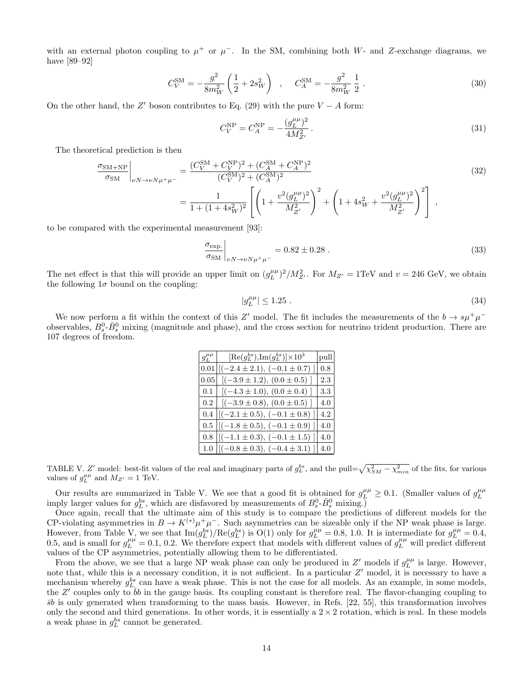with an external photon coupling to  $\mu^+$  or  $\mu^-$ . In the SM, combining both W- and Z-exchange diagrams, we have [89–92]

$$
C_V^{\rm SM} = -\frac{g^2}{8m_W^2} \left(\frac{1}{2} + 2s_W^2\right) , \quad C_A^{\rm SM} = -\frac{g^2}{8m_W^2} \frac{1}{2} . \tag{30}
$$

On the other hand, the Z' boson contributes to Eq. (29) with the pure  $V - A$  form:

$$
C_V^{\rm NP} = C_A^{\rm NP} = -\frac{(g_L^{\mu\mu})^2}{4M_Z^2} \,. \tag{31}
$$

The theoretical prediction is then

$$
\frac{\sigma_{\text{SM+NP}}}{\sigma_{\text{SM}}}\Big|_{\nu N \to \nu N \mu^{+}\mu^{-}} = \frac{(C_V^{\text{SM}} + C_V^{\text{NP}})^2 + (C_A^{\text{SM}} + C_A^{\text{NP}})^2}{(C_V^{\text{SM}})^2 + (C_A^{\text{SM}})^2}
$$
\n
$$
= \frac{1}{1 + (1 + 4s_W^2)^2} \left[ \left(1 + \frac{v^2 (g_L^{\mu \mu})^2}{M_{Z'}^2}\right)^2 + \left(1 + 4s_W^2 + \frac{v^2 (g_L^{\mu \mu})^2}{M_{Z'}^2}\right)^2 \right],
$$
\n(32)

to be compared with the experimental measurement [93]:

$$
\left. \frac{\sigma_{\text{exp.}}}{\sigma_{\text{SM}}} \right|_{\nu N \to \nu N \mu^+ \mu^-} = 0.82 \pm 0.28 \ . \tag{33}
$$

The net effect is that this will provide an upper limit on  $(g_L^{\mu\mu})^2/M_{Z'}^2$ . For  $M_{Z'} = 1 \text{TeV}$  and  $v = 246 \text{ GeV}$ , we obtain the following  $1\sigma$  bound on the coupling:

$$
|g_L^{\mu\mu}| \le 1.25 \tag{34}
$$

We now perform a fit within the context of this Z' model. The fit includes the measurements of the  $b \to s\mu^+\mu^$ observables,  $B_s^0$ ,  $\bar{B}_s^0$  mixing (magnitude and phase), and the cross section for neutrino trident production. There are 107 degrees of freedom.

| $g_L^{\mu\mu}$ | $[{\rm Re}(g_L^{bs}), {\rm Im}(g_L^{bs})] \times 10^3$ | pull |
|----------------|--------------------------------------------------------|------|
| 0.01           | $[(-2.4 \pm 2.1), (-0.1 \pm 0.7)]$                     | 0.8  |
| 0.05           | $[(-3.9 \pm 1.2), (0.0 \pm 0.5)]$                      | 2.3  |
|                | $0.1$ $[(-4.3 \pm 1.0), (0.0 \pm 0.4)]$                | 3.3  |
| 0.2            | $[(-3.9 \pm 0.8), (0.0 \pm 0.5)]$                      | 4.0  |
|                | 0.4 $ (-2.1 \pm 0.5), (-0.1 \pm 0.8) $                 | 4.2  |
|                | $0.5$  [(-1.8 ± 0.5), (-0.1 ± 0.9)]                    | 4.0  |
|                | $0.8$ $[(-1.1 \pm 0.3), (-0.1 \pm 1.5)]$               | 4.0  |
|                | 1.0 $ (-0.8 \pm 0.3), (-0.4 \pm 3.1)]$                 | 4.0  |

TABLE V. Z' model: best-fit values of the real and imaginary parts of  $g_L^{bs}$ , and the pull= $\sqrt{\chi_{SM}^2 - \chi_{min}^2}$  of the fits, for various values of  $g_L^{\mu\mu}$  and  $M_{Z'} = 1$  TeV.

Our results are summarized in Table V. We see that a good fit is obtained for  $g_L^{\mu\mu} \geq 0.1$ . (Smaller values of  $g_L^{\mu\mu}$ imply larger values for  $g_L^{bs}$ , which are disfavored by measurements of  $B_s^0$ - $\bar{B}_s^0$  mixing.)

Once again, recall that the ultimate aim of this study is to compare the predictions of different models for the CP-violating asymmetries in  $B \to K^{(*)} \mu^+ \mu^-$ . Such asymmetries can be sizeable only if the NP weak phase is large. However, from Table V, we see that  $\text{Im}(g_L^{bs})/ \text{Re}(g_L^{bs})$  is  $O(1)$  only for  $g_L^{\mu\mu} = 0.8, 1.0$ . It is intermediate for  $g_L^{\mu\mu} = 0.4$ , 0.5, and is small for  $g_L^{\mu\mu} = 0.1, 0.2$ . We therefore expect that models with different values of  $g_L^{\mu\mu}$  will predict different values of the CP asymmetries, potentially allowing them to be differentiated.

From the above, we see that a large NP weak phase can only be produced in  $Z'$  models if  $g_L^{\mu\mu}$  is large. However, note that, while this is a necessary condition, it is not sufficient. In a particular Z' model, it is necessary to have a mechanism whereby  $g_{L_{-}}^{bs}$  can have a weak phase. This is not the case for all models. As an example, in some models, the Z' couples only to  $\overline{b}b$  in the gauge basis. Its coupling constant is therefore real. The flavor-changing coupling to  $\bar{s}b$  is only generated when transforming to the mass basis. However, in Refs. [22, 55], this transformation involves only the second and third generations. In other words, it is essentially a  $2 \times 2$  rotation, which is real. In these models a weak phase in  $g_L^{bs}$  cannot be generated.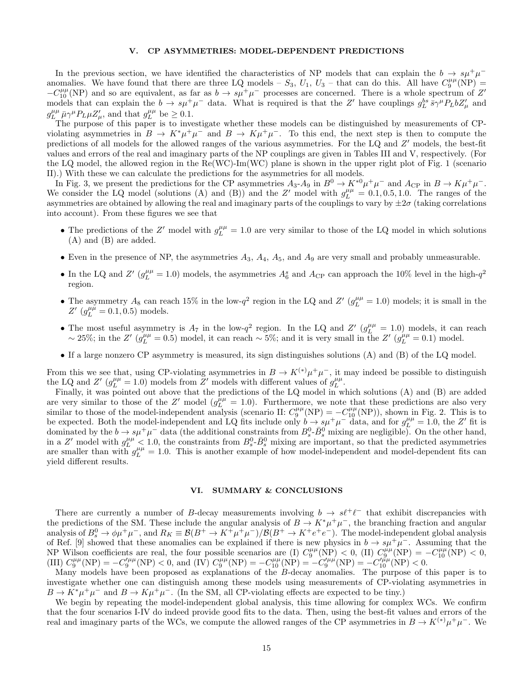#### V. CP ASYMMETRIES: MODEL-DEPENDENT PREDICTIONS

In the previous section, we have identified the characteristics of NP models that can explain the  $b \rightarrow s\mu^{+}\mu^{-}$ anomalies. We have found that there are three LQ models –  $S_3$ ,  $U_1$ ,  $U_3$  – that can do this. All have  $C_9^{\mu\mu}(\text{NP})$  =  $-C_{10}^{\mu\mu}$ (NP) and so are equivalent, as far as  $b \to s\mu^{+}\mu^{-}$  processes are concerned. There is a whole spectrum of Z' models that can explain the  $b \to s\mu^+\mu^-$  data. What is required is that the Z' have couplings  $g_L^{bs} \bar{s} \gamma^\mu P_L b Z'_\mu$  and  $g_L^{\mu\mu} \bar{\mu} \gamma^{\mu} P_L \mu Z'_{\mu}$ , and that  $g_L^{\mu\mu}$  be  $\geq 0.1$ .

The purpose of this paper is to investigate whether these models can be distinguished by measurements of CPviolating asymmetries in  $B \to K^* \mu^+ \mu^-$  and  $B \to K \mu^+ \mu^-$ . To this end, the next step is then to compute the predictions of all models for the allowed ranges of the various asymmetries. For the LQ and Z' models, the best-fit values and errors of the real and imaginary parts of the NP couplings are given in Tables III and V, respectively. (For the LQ model, the allowed region in the Re(WC)-Im(WC) plane is shown in the upper right plot of Fig. 1 (scenario II).) With these we can calculate the predictions for the asymmetries for all models.

In Fig. 3, we present the predictions for the CP asymmetries  $A_3$ - $A_9$  in  $B^0 \to K^{*0} \mu^+ \mu^-$  and  $A_{\rm CP}$  in  $B \to K \mu^+ \mu^-$ . We consider the LQ model (solutions (A) and (B)) and the Z' model with  $g_L^{\mu\mu} = 0.1, 0.5, 1.0$ . The ranges of the asymmetries are obtained by allowing the real and imaginary parts of the couplings to vary by  $\pm 2\sigma$  (taking correlations into account). From these figures we see that

- The predictions of the Z' model with  $g_L^{\mu\mu} = 1.0$  are very similar to those of the LQ model in which solutions (A) and (B) are added.
- Even in the presence of NP, the asymmetries  $A_3$ ,  $A_4$ ,  $A_5$ , and  $A_9$  are very small and probably unmeasurable.
- In the LQ and Z'  $(g_L^{\mu\mu} = 1.0)$  models, the asymmetries  $A_6^s$  and  $A_{\rm CP}$  can approach the 10% level in the high- $q^2$ region.
- The asymmetry  $A_8$  can reach 15% in the low- $q^2$  region in the LQ and Z'  $(g_L^{\mu\mu} = 1.0)$  models; it is small in the  $Z'$  ( $g_L^{\mu\mu} = 0.1, 0.5$ ) models.
- The most useful asymmetry is  $A_7$  in the low-q<sup>2</sup> region. In the LQ and  $Z'$  ( $g_L^{\mu\mu} = 1.0$ ) models, it can reach ~ 25%; in the Z'  $(g_L^{\mu\mu} = 0.5)$  model, it can reach ~ 5%; and it is very small in the Z'  $(g_L^{\mu\mu} = 0.1)$  model.
- If a large nonzero CP asymmetry is measured, its sign distinguishes solutions (A) and (B) of the LQ model.

From this we see that, using CP-violating asymmetries in  $B \to K^{(*)} \mu^+ \mu^-$ , it may indeed be possible to distinguish the LQ and Z'  $(g_L^{\mu\mu} = 1.0)$  models from Z' models with different values of  $g_L^{\mu\mu}$ .

Finally, it was pointed out above that the predictions of the LQ model in which solutions (A) and (B) are added are very similar to those of the Z' model  $(g_L^{\mu\mu} = 1.0)$ . Furthermore, we note that these predictions are also very similar to those of the model-independent analysis (scenario II:  $C_9^{\mu\mu}(\text{NP}) = -C_{10}^{\mu\mu}(\text{NP})$ ), shown in Fig. 2. This is to be expected. Both the model-independent and LQ fits include only  $b \rightarrow s\mu^+\mu^-$  data, and for  $g_L^{\mu\mu} = 1.0$ , the Z' fit is dominated by the  $b \to s\mu^+\mu^-$  data (the additional constraints from  $B_s^0$ - $\bar{B}_s^0$  mixing are negligible). On the other hand, in a Z' model with  $g_L^{\mu\mu}$  < 1.0, the constraints from  $B_s^0$ - $\bar{B}_s^0$  mixing are important, so that the predicted asymmetries are smaller than with  $g_L^{\mu\mu} = 1.0$ . This is another example of how model-independent and model-dependent fits can yield different results.

#### VI. SUMMARY & CONCLUSIONS

There are currently a number of B-decay measurements involving  $b \to s\ell^+\ell^-$  that exhibit discrepancies with the predictions of the SM. These include the angular analysis of  $B \to K^*\mu^+\mu^-$ , the branching fraction and angular analysis of  $B_s^0 \to \phi \mu^+ \mu^-$ , and  $R_K \equiv \mathcal{B}(B^+ \to K^+ \mu^+ \mu^-)/\mathcal{B}(B^+ \to K^+ e^+ e^-)$ . The model-independent global analysis of Ref. [9] showed that these anomalies can be explained if there is new physics in  $b \to s\mu^+\mu^-$ . Assuming that the NP Wilson coefficients are real, the four possible scenarios are (I)  $C_9^{\mu\mu}(\text{NP}) < 0$ , (II)  $C_9^{\mu\mu}(\text{NP}) = -C_{10}^{\mu\mu}(\text{NP}) < 0$ , (III)  $C_9^{\mu\mu}(\text{NP}) = -C_9^{\prime\mu\mu}(\text{NP}) < 0$ , and (IV)  $C_9^{\mu\mu}(\text{NP}) = -C_{10}^{\mu\mu}(\text{NP}) = -C_9^{\prime\mu\mu}(\text{NP}) = -C_{10}^{\prime\mu}(\text{NP}) = -C_{10}^{\prime\mu}(\text{NP}) = -C_{10}^{\prime\mu}(\text{NP}) = -C_{10}^{\prime\mu}(\text{NP})$ 

Many models have been proposed as explanations of the B-decay anomalies. The purpose of this paper is to investigate whether one can distinguish among these models using measurements of CP-violating asymmetries in  $B \to K^* \mu^+ \mu^-$  and  $B \to K \mu^+ \mu^-$ . (In the SM, all CP-violating effects are expected to be tiny.)

We begin by repeating the model-independent global analysis, this time allowing for complex WCs. We confirm that the four scenarios I-IV do indeed provide good fits to the data. Then, using the best-fit values and errors of the real and imaginary parts of the WCs, we compute the allowed ranges of the CP asymmetries in  $B \to K^{(*)} \mu^+ \mu^-$ . We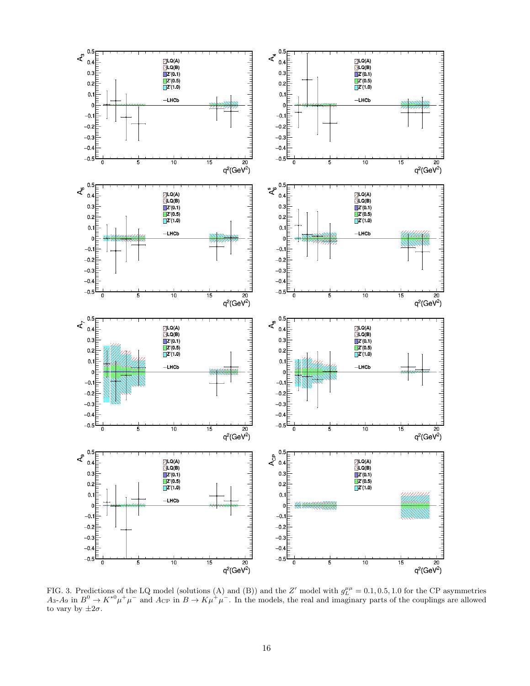

FIG. 3. Predictions of the LQ model (solutions (A) and (B)) and the Z' model with  $g_L^{\mu\mu} = 0.1, 0.5, 1.0$  for the CP asymmetries  $A_3$ - $A_9$  in  $B^0 \to K^{*0} \mu^+ \mu^-$  and  $A_{\rm CP}$  in  $B \to K \mu^+ \mu^-$ . In the models, the real and imaginary parts of the couplings are allowed to vary by  $\pm 2\sigma$ .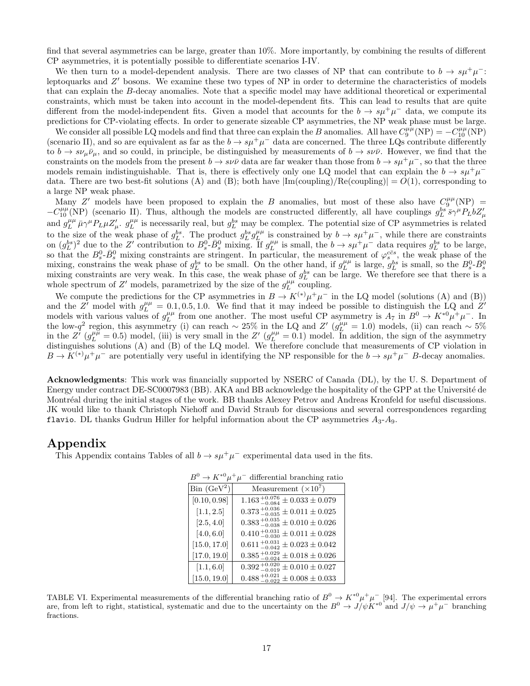find that several asymmetries can be large, greater than 10%. More importantly, by combining the results of different CP asymmetries, it is potentially possible to differentiate scenarios I-IV.

We then turn to a model-dependent analysis. There are two classes of NP that can contribute to  $b \to s\mu^+\mu^-$ . leptoquarks and Z' bosons. We examine these two types of NP in order to determine the characteristics of models that can explain the B-decay anomalies. Note that a specific model may have additional theoretical or experimental constraints, which must be taken into account in the model-dependent fits. This can lead to results that are quite different from the model-independent fits. Given a model that accounts for the  $b \to s\mu^+\mu^-$  data, we compute its predictions for CP-violating effects. In order to generate sizeable CP asymmetries, the NP weak phase must be large.

We consider all possible LQ models and find that three can explain the B anomalies. All have  $C_9^{\mu\mu}(NP) = -C_{10}^{\mu\mu}(NP)$ (scenario II), and so are equivalent as far as the  $b \to s\mu^+\mu^-$  data are concerned. The three LQs contribute differently to  $b \to s\nu_\mu\bar{\nu}_\mu$ , and so could, in principle, be distinguished by measurements of  $b \to s\nu\bar{\nu}$ . However, we find that the constraints on the models from the present  $b \to s\nu\bar{\nu}$  data are far weaker than those from  $b \to s\mu^+\mu^-$ , so that the three models remain indistinguishable. That is, there is effectively only one LQ model that can explain the  $b \to s\mu^+\mu^$ data. There are two best-fit solutions (A) and (B); both have  $|{\rm Im}({\rm coupling})/Re({\rm coupling}) = O(1)$ , corresponding to a large NP weak phase.

Many Z' models have been proposed to explain the B anomalies, but most of these also have  $C_9^{\mu\mu}(\text{NP})$  =  $-C_{10}^{\mu\mu}$ (NP) (scenario II). Thus, although the models are constructed differently, all have couplings  $g_L^{bs} \bar{s} \gamma^\mu P_L b Z'_\mu$ and  $g_L^{\mu\mu} \bar{\mu} \gamma^{\mu} P_L \mu Z'_{\mu}$ .  $g_L^{\mu\mu}$  is necessarily real, but  $g_L^{bs}$  may be complex. The potential size of CP asymmetries is related  $\mu$ . 9 $L$ to the size of the weak phase of  $g_L^{bs}$ . The product  $g_L^{bs} g_L^{\mu\mu}$  is constrained by  $b \to s\mu^+\mu^-$ , while there are constraints on  $(g_L^{bs})^2$  due to the Z' contribution to  $B_s^0$ - $\bar{B}_s^0$  mixing. If  $g_L^{\mu\mu}$  is small, the  $b \to s\mu^+\mu^-$  data requires  $g_L^{bs}$  to be large, so that the  $B_s^0$ - $\bar{B}_s^0$  mixing constraints are stringent. In particular, the measurement of  $\varphi_s^{c\bar{c}s}$ , the weak phase of the mixing, constrains the weak phase of  $g_L^{bs}$  to be small. On the other hand, if  $g_L^{\mu\mu}$  is large,  $g_L^{bs}$  is small, so the  $B_s^0$ - $\bar{B}_s^0$  mixing constraints are very weak. In this case, the weak phase of  $g_L^{bs}$  can whole spectrum of Z' models, parametrized by the size of the  $g_L^{\mu\mu}$  coupling.

We compute the predictions for the CP asymmetries in  $B \to K^{(*)} \mu^+ \mu^-$  in the LQ model (solutions (A) and (B)) and the  $Z'$  model with  $g_L^{\mu\mu} = 0.1, 0.5, 1.0$ . We find that it may indeed be possible to distinguish the LQ and  $Z'$ models with various values of  $g_L^{\mu\mu}$  from one another. The most useful CP asymmetry is  $A_7$  in  $B^0 \to K^{*0} \mu^+ \mu^-$ . In the low-q<sup>2</sup> region, this asymmetry (i) can reach ~ 25% in the LQ and Z'  $(g_L^{\mu\mu} = 1.0)$  models, (ii) can reach ~ 5% in the  $Z'$   $(g_L^{\mu\mu} = 0.5)$  model, (iii) is very small in the  $Z'$   $(g_L^{\mu\mu} = 0.1)$  model. In addition, the sign of the asymmetry distinguishes solutions (A) and (B) of the LQ model. We therefore conclude that measurements of CP violation in  $B \to K^{(*)} \mu^+ \mu^-$  are potentially very useful in identifying the NP responsible for the  $b \to s\mu^+ \mu^-$  B-decay anomalies.

Acknowledgments: This work was financially supported by NSERC of Canada (DL), by the U. S. Department of Energy under contract DE-SC0007983 (BB). AKA and BB acknowledge the hospitality of the GPP at the Université de Montréal during the initial stages of the work. BB thanks Alexey Petrov and Andreas Kronfeld for useful discussions. JK would like to thank Christoph Niehoff and David Straub for discussions and several correspondences regarding flavio. DL thanks Gudrun Hiller for helpful information about the CP asymmetries  $A_3$ - $A_9$ .

#### Appendix

This Appendix contains Tables of all  $b \to s\mu^+\mu^-$  experimental data used in the fits.

| $\sqrt{1}$                               | $\alpha$ -                                           |
|------------------------------------------|------------------------------------------------------|
| $\operatorname{Bin}$ (GeV <sup>2</sup> ) | Measurement $(\times 10^7)$                          |
| [0.10, 0.98]                             | $1.163_{-0.084}^{+0.076} \pm 0.033 \pm 0.079$        |
| [1.1, 2.5]                               | $0.373_{-0.035}^{+0.036} \pm 0.011 \pm 0.025$        |
| [2.5, 4.0]                               | $0.383_{-0.038}^{+0.035} \pm 0.010 \pm 0.026$        |
| [4.0, 6.0]                               | $0.410_{-0.030}^{+0.031} \pm 0.011 \pm 0.028$        |
| [15.0, 17.0]                             | $0.611_{-0.042}^{+0.031} \pm 0.023 \pm 0.042$        |
| [17.0, 19.0]                             | $\pm 0.018 \pm 0.026$<br>$0.385_{ -0.024}^{ +0.029}$ |
| [1.1, 6.0]                               | $0.392_{ -0.019}^{ +0.020}$<br>$\pm 0.010 \pm 0.027$ |
| [15.0, 19.0]                             | $0.488 +$<br>$\pm$ 0.008 $\pm$ 0.033<br>0.021        |

 $B^0 \to K^{*0} \mu^+ \mu^-$  differential branching ratio

TABLE VI. Experimental measurements of the differential branching ratio of  $B^0 \to K^{*0} \mu^+ \mu^-$  [94]. The experimental errors are, from left to right, statistical, systematic and due to the uncertainty on the  $B^0 \to J/\psi K^{*0}$  and  $J/\psi \to \mu^+\mu^-$  branching fractions.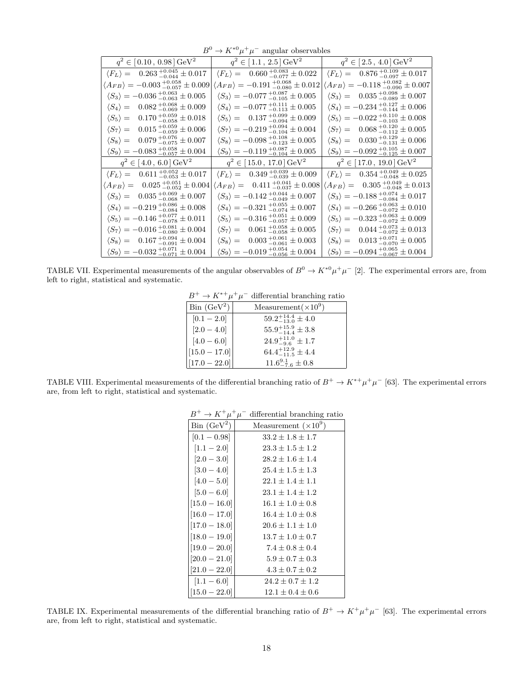|                                                                  | $\sqrt{11}$<br>$\mu$ $\mu$ angular observables                    |                                                                  |
|------------------------------------------------------------------|-------------------------------------------------------------------|------------------------------------------------------------------|
| $q^2 \in [0.10, 0.98] \,\text{GeV}^2$                            | $q^2 \in [1.1, 2.5] \,\text{GeV}^2$                               | $q^2 \in [2.5, 4.0] \,\text{GeV}^2$                              |
| $\langle F_L \rangle = 0.263^{+0.045}_{-0.044} \pm 0.017$        | $\langle F_L \rangle = 0.660^{+0.083}_{-0.077} \pm 0.022$         | $\langle F_L \rangle = 0.876_{-0.097}^{+0.109} \pm 0.017$        |
| $\langle A_{FB} \rangle = -0.003_{-0.057}^{+0.058} \pm 0.009$    | $\langle A_{FB} \rangle = -0.191^{\ +0.068}_{\ -0.080} \pm 0.012$ | $\langle A_{FB} \rangle = -0.118_{-0.090}^{+0.082} \pm 0.007$    |
| $\langle S_3 \rangle = -0.036 {+0.063 \atop -0.063} \pm 0.005$   | $\langle S_3 \rangle = -0.077_{-0.105}^{+0.087} \pm 0.005$        | $\langle S_3 \rangle = 0.035^{+0.098}_{-0.089} \pm 0.007$        |
| $0.082_{-0.069}^{+0.068} \pm 0.009$<br>$\langle S_4 \rangle =$   | $\langle S_4 \rangle = -0.077_{-0.113}^{+0.111} \pm 0.005$        | $\langle S_4 \rangle = -0.234^{+0.127}_{-0.144} \pm 0.006$       |
| $0.170_{\,-0.058}^{\,+0.059}\pm0.018$<br>$\langle S_5 \rangle =$ | $\langle S_5 \rangle = 0.137_{-0.094}^{+0.099} \pm 0.009$         | $\langle S_5 \rangle = -0.022 \, {}^{+0.110}_{-0.103} \pm 0.008$ |
| $0.015_{\,-0.059}^{\,+0.059}\pm0.006$<br>$\langle S_7 \rangle =$ | $\langle S_7 \rangle = -0.219_{-0.104}^{+0.094} \pm 0.004$        | $\langle S_7 \rangle = 0.068^{+0.120}_{-0.112} \pm 0.005$        |
| $\langle S_8 \rangle = 0.079_{-0.075}^{+0.076} \pm 0.007$        | $\langle S_8 \rangle = -0.098_{-0.123}^{+0.108} \pm 0.005$        | $\langle S_8 \rangle = 0.030^{+0.129}_{-0.131} \pm 0.006$        |
| $\langle S_9 \rangle = -0.083_{-0.057}^{+0.058} \pm 0.004$       | $\langle S_9 \rangle = -0.119_{-0.104}^{+0.087} \pm 0.005$        | $\langle S_9 \rangle = -0.092 {+0.105 \atop -0.125} \pm 0.007$   |
| $q^2 \in [4.0, 6.0] \,\text{GeV}^2$                              | $q^2 \in [15.0, 17.0] \,\text{GeV}^2$                             | $q^2 \in [17.0, 19.0] \,\text{GeV}^2$                            |
| $\langle F_L \rangle = 0.611^{+0.052}_{-0.053} \pm 0.017$        | $\langle F_L \rangle = 0.349^{+0.039}_{-0.039} \pm 0.009$         | $\langle F_L \rangle = 0.354^{+0.049}_{-0.048} \pm 0.025$        |
| $\langle A_{FB} \rangle = 0.025^{+0.051}_{-0.052} \pm 0.004$     | $\langle A_{FB} \rangle = 0.411^{+0.041}_{-0.037} \pm 0.008$      | $\langle A_{FB} \rangle = 0.305_{-0.048}^{+0.049} \pm 0.013$     |
| $\langle S_3 \rangle = 0.035^{+0.069}_{-0.068} \pm 0.007$        | $\langle S_3 \rangle = -0.142^{+0.044}_{-0.049} \pm 0.007$        | $\langle S_3 \rangle = -0.188_{-0.084}^{+0.074} \pm 0.017$       |
| $\langle S_4 \rangle = -0.219_{-0.084}^{+0.086} \pm 0.008$       | $\langle S_4 \rangle = -0.321_{-0.074}^{+0.055} \pm 0.007$        | $\langle S_4 \rangle = -0.266_{-0.072}^{+0.063} \pm 0.010$       |
| $\langle S_5 \rangle = -0.146_{-0.078}^{+0.077} \pm 0.011$       | $\langle S_5 \rangle = -0.316^{+0.051}_{-0.057} \pm 0.009$        | $\langle S_5 \rangle = -0.323^{+0.063}_{-0.072} \pm 0.009$       |
| $\langle S_7 \rangle = -0.016_{-0.080}^{+0.081} \pm 0.004$       | $\langle S_7 \rangle = 0.061_{-0.058}^{+0.058} \pm 0.005$         | $\langle S_7 \rangle = 0.044^{+0.073}_{-0.072} \pm 0.013$        |
| $\langle S_8 \rangle = 0.167_{-0.091}^{+0.094} \pm 0.004$        | $\langle S_8 \rangle = 0.003^{+0.061}_{-0.061} \pm 0.003$         | $\langle S_8 \rangle = 0.013^{+0.071}_{-0.070} \pm 0.005$        |
| $\langle S_9 \rangle = -0.032_{-0.071}^{+0.071} \pm 0.004$       | $\langle S_9 \rangle = -0.019_{-0.056}^{+0.054} \pm 0.004$        | $\langle S_9 \rangle = -0.094 \, {}^{+0.065}_{-0.067} \pm 0.004$ |

 $B^0 \to K^{*0} \mu^+ \mu^-$  angular observables

TABLE VII. Experimental measurements of the angular observables of  $B^0 \to K^{*0} \mu^+ \mu^-$  [2]. The experimental errors are, from left to right, statistical and systematic.

 $B^+ \to K^{*+} \mu^+ \mu^-$  differential branching ratio

| $\operatorname{Bin}$ (GeV <sup>2</sup> )<br>Measurement $(\times 10^9)$ |  |
|-------------------------------------------------------------------------|--|
| $59.2^{+14.4}_{-13.0}\pm 4.0$<br>$[0.1 - 2.0]$                          |  |
| $55.9^{+15.9}_{-14.4}\pm3.8$<br>$[2.0 - 4.0]$                           |  |
| $24.9^{+11.0}_{-9.6} \pm 1.7$<br>$[4.0 - 6.0]$                          |  |
| $64.4_{-11.5}^{+12.9} \pm 4.4$<br>$[15.0 - 17.0]$                       |  |
| $11.6^{9.1}_{-7.6}\pm 0.8$<br>$[17.0 - 22.0]$                           |  |

TABLE VIII. Experimental measurements of the differential branching ratio of  $B^+ \to K^{*+} \mu^+ \mu^-$  [63]. The experimental errors are, from left to right, statistical and systematic.

|                                          | $B^+ \to K^+ \mu^+ \mu^-$ differential branching ratio |
|------------------------------------------|--------------------------------------------------------|
| $\operatorname{Bin}$ (GeV <sup>2</sup> ) | Measurement $(\times 10^9)$                            |
| $[0.1 - 0.98]$                           | $33.2 \pm 1.8 \pm 1.7$                                 |
| $[1.1 - 2.0]$                            | $23.3 + 1.5 + 1.2$                                     |
| $[2.0 - 3.0]$                            | $28.2 \pm 1.6 \pm 1.4$                                 |
| $[3.0 - 4.0]$                            | $25.4 \pm 1.5 \pm 1.3$                                 |
| $[4.0 - 5.0]$                            | $22.1 + 1.4 + 1.1$                                     |
| $[5.0 - 6.0]$                            | $23.1 + 1.4 + 1.2$                                     |
| $[15.0 - 16.0]$                          | $16.1 \pm 1.0 \pm 0.8$                                 |
| $[16.0 - 17.0]$                          | $16.4 \pm 1.0 \pm 0.8$                                 |
| $[17.0 - 18.0]$                          | $20.6 + 1.1 + 1.0$                                     |
| $[18.0 - 19.0]$                          | $13.7 + 1.0 + 0.7$                                     |
| $[19.0 - 20.0]$                          | $7.4 \pm 0.8 \pm 0.4$                                  |
| $[20.0 - 21.0]$                          | $5.9 \pm 0.7 \pm 0.3$                                  |
| $[21.0 - 22.0]$                          | $4.3 \pm 0.7 \pm 0.2$                                  |
| $[1.1 - 6.0]$                            | $24.2 \pm 0.7 \pm 1.2$                                 |
| $[15.0 - 22.0]$                          | $12.1 \pm 0.4 \pm 0.6$                                 |
|                                          |                                                        |

TABLE IX. Experimental measurements of the differential branching ratio of  $B^+ \to K^+\mu^+\mu^-$  [63]. The experimental errors are, from left to right, statistical and systematic.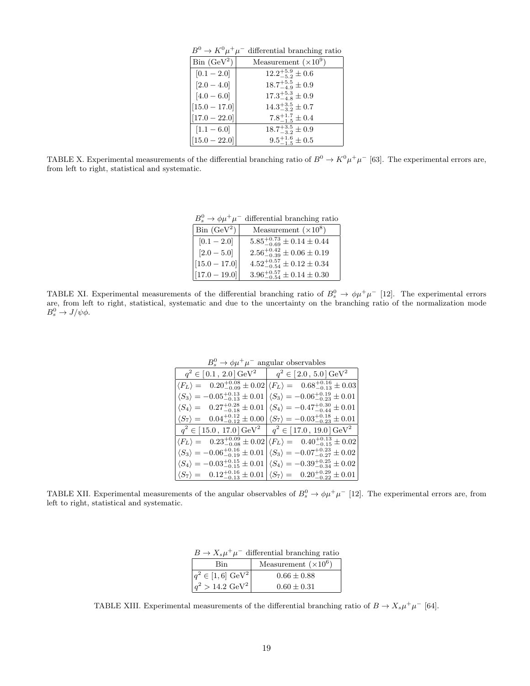| $B^0 \to K^0 \mu^+ \mu^-$<br>differential branching ratio |                              |  |
|-----------------------------------------------------------|------------------------------|--|
| $\operatorname{Bin}$ ( $\operatorname{GeV}^2$ )           | Measurement $(\times 10^9)$  |  |
| $[0.1 - 2.0]$                                             | $12.2^{+5.9}_{-5.2} \pm 0.6$ |  |
| $[2.0 - 4.0]$                                             | $18.7^{+5.5}_{-4.9} \pm 0.9$ |  |
| $[4.0 - 6.0]$                                             | $17.3^{+5.3}_{-4.8}\pm 0.9$  |  |
| $[15.0 - 17.0]$                                           | $14.3^{+3.5}_{-3.2} \pm 0.7$ |  |
| $[17.0 - 22.0]$                                           | $7.8^{+1.7}_{-1.5} \pm 0.4$  |  |
| $[1.1 - 6.0]$                                             | $18.7^{+3.5}_{-3.2}\pm 0.9$  |  |
| $[15.0 - 22.0]$                                           | $9.5^{+1.6}_{-1.5} \pm 0.5$  |  |

TABLE X. Experimental measurements of the differential branching ratio of  $B^0 \to K^0 \mu^+ \mu^-$  [63]. The experimental errors are, from left to right, statistical and systematic.

| $B_s^0 \rightarrow \phi \mu^+ \mu^-$<br>differential branching ratio |                                          |  |
|----------------------------------------------------------------------|------------------------------------------|--|
| $\operatorname{Bin}$ ( $\operatorname{GeV}^2$ )                      | Measurement $(\times 10^8)$              |  |
| $[0.1 - 2.0]$                                                        | $5.85^{+0.73}_{-0.69}\pm 0.14\pm 0.44$   |  |
| $[2.0 - 5.0]$                                                        | $2.56^{+0.42}_{-0.39}\pm 0.06\pm 0.19$   |  |
| $[15.0 - 17.0]$                                                      | $4.52^{+0.57}_{-0.54} \pm 0.12 \pm 0.34$ |  |
| $[17.0 - 19.0]$                                                      | $3.96^{+0.57}_{-0.54} \pm 0.14 \pm 0.30$ |  |

TABLE XI. Experimental measurements of the differential branching ratio of  $B_s^0 \to \phi \mu^+ \mu^-$  [12]. The experimental errors are, from left to right, statistical, systematic and due to the uncertainty on the branching ratio of the normalization mode  $B_s^0 \to J/\psi \phi$ .

|                                                                                                                                         | $D_s \rightarrow \psi \mu$ $\mu$ angular observables                                                             |
|-----------------------------------------------------------------------------------------------------------------------------------------|------------------------------------------------------------------------------------------------------------------|
|                                                                                                                                         | $q^2 \in [0.1, 2.0] \,\text{GeV}^2 \quad   \quad q^2 \in [2.0, 5.0] \,\text{GeV}^2$                              |
|                                                                                                                                         | $\langle F_L \rangle = 0.20^{+0.08}_{-0.09} \pm 0.02 \langle F_L \rangle = 0.68^{+0.16}_{-0.13} \pm 0.03$        |
| $\langle S_3 \rangle = -0.05^{+0.13}_{-0.13} \pm 0.01 \vert \langle S_3 \rangle = -0.06^{+0.19}_{-0.23} \pm 0.01$                       |                                                                                                                  |
|                                                                                                                                         | $\langle S_4 \rangle = 0.27^{+0.28}_{-0.18} \pm 0.01  \langle S_4 \rangle = -0.47^{+0.30}_{-0.44} \pm 0.01$      |
|                                                                                                                                         | $\langle S_7 \rangle = 0.04^{+0.12}_{-0.12} \pm 0.00 \vert \langle S_7 \rangle = -0.03^{+0.18}_{-0.23} \pm 0.01$ |
|                                                                                                                                         | $q^2 \in [15.0, 17.0] \,\text{GeV}^2 \mid q^2 \in [17.0, 19.0] \,\text{GeV}^2$                                   |
|                                                                                                                                         | $\langle F_L \rangle = 0.23^{+0.09}_{-0.08} \pm 0.02 \langle F_L \rangle = 0.40^{+0.13}_{-0.15} \pm 0.02$        |
|                                                                                                                                         | $\langle S_3 \rangle = -0.06^{+0.16}_{-0.19} \pm 0.01  \langle S_3 \rangle = -0.07^{+0.23}_{-0.27} \pm 0.02$     |
|                                                                                                                                         | $\langle S_4 \rangle = -0.03^{+0.15}_{-0.15} \pm 0.01  \langle S_4 \rangle = -0.39^{+0.25}_{-0.34} \pm 0.02$     |
| $\left  \langle S_7 \rangle \right  = 0.12^{+0.16}_{-0.13} \pm 0.01 \left  \langle S_7 \rangle \right  = 0.20^{+0.29}_{-0.22} \pm 0.01$ |                                                                                                                  |

 $B_s^0 \to \phi \mu^+ \mu^-$  angular observables

TABLE XII. Experimental measurements of the angular observables of  $B_s^0 \to \phi \mu^+ \mu^-$  [12]. The experimental errors are, from left to right, statistical and systematic.

|            | $B \to X_s \mu^+ \mu^-$ differential branching ratio |
|------------|------------------------------------------------------|
| <b>Bin</b> | Measurement $(\times 10^6)$                          |
|            |                                                      |

 $q^2 > 14.2 \text{ GeV}^2$  0.60 ± 0.31 TABLE XIII. Experimental measurements of the differential branching ratio of  $B \to X_s \mu^+ \mu^-$  [64].

 $q^2 \in [1, 6] \text{ GeV}^2$  0.66 ± 0.88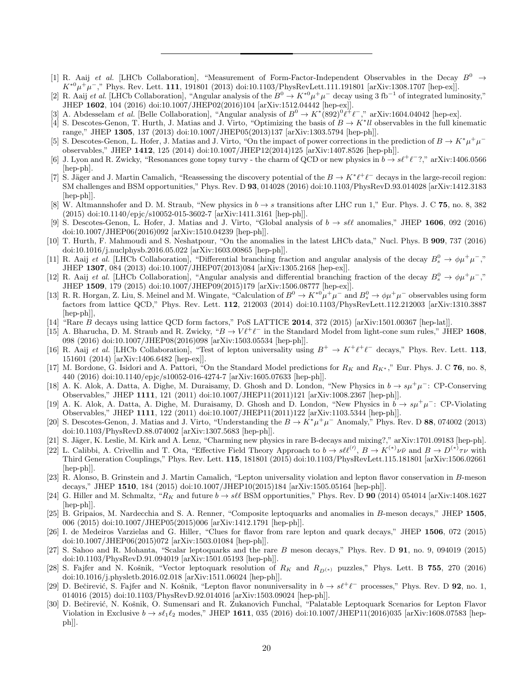- [1] R. Aaij et al. [LHCb Collaboration], "Measurement of Form-Factor-Independent Observables in the Decay  $B^0 \rightarrow$  $K^{*0}\mu^+\mu^-$ ," Phys. Rev. Lett. 111, 191801 (2013) doi:10.1103/PhysRevLett.111.191801 [arXiv:1308.1707 [hep-ex]].
- [2] R. Aaij et al. [LHCb Collaboration], "Angular analysis of the  $B^0 \to K^{*0} \mu^+ \mu^-$  decay using 3 fb<sup>-1</sup> of integrated luminosity," JHEP 1602, 104 (2016) doi:10.1007/JHEP02(2016)104 [arXiv:1512.04442 [hep-ex]].
- [3] A. Abdesselam *et al.* [Belle Collaboration], "Angular analysis of  $B^0 \to K^*(892)^0 \ell^+ \ell^-$ ," arXiv:1604.04042 [hep-ex].
- [4] S. Descotes-Genon, T. Hurth, J. Matias and J. Virto, "Optimizing the basis of  $B \to K^* l l$  observables in the full kinematic range," JHEP 1305, 137 (2013) doi:10.1007/JHEP05(2013)137 [arXiv:1303.5794 [hep-ph]].
- [5] S. Descotes-Genon, L. Hofer, J. Matias and J. Virto, "On the impact of power corrections in the prediction of  $B \to K^* \mu^+ \mu^$ observables," JHEP 1412, 125 (2014) doi:10.1007/JHEP12(2014)125 [arXiv:1407.8526 [hep-ph]].
- [6] J. Lyon and R. Zwicky, "Resonances gone topsy turvy the charm of QCD or new physics in  $b \to s\ell^+\ell^-$ ?," arXiv:1406.0566 [hep-ph].
- [7] S. Jäger and J. Martin Camalich, "Reassessing the discovery potential of the  $B \to K^* \ell^+ \ell^-$  decays in the large-recoil region: SM challenges and BSM opportunities," Phys. Rev. D 93, 014028 (2016) doi:10.1103/PhysRevD.93.014028 [arXiv:1412.3183 [hep-ph]].
- [8] W. Altmannshofer and D. M. Straub, "New physics in  $b \to s$  transitions after LHC run 1," Eur. Phys. J. C 75, no. 8, 382 (2015) doi:10.1140/epjc/s10052-015-3602-7 [arXiv:1411.3161 [hep-ph]].
- [9] S. Descotes-Genon, L. Hofer, J. Matias and J. Virto, "Global analysis of  $b \to s\ell\ell$  anomalies," JHEP 1606, 092 (2016) doi:10.1007/JHEP06(2016)092 [arXiv:1510.04239 [hep-ph]].
- [10] T. Hurth, F. Mahmoudi and S. Neshatpour, "On the anomalies in the latest LHCb data," Nucl. Phys. B 909, 737 (2016) doi:10.1016/j.nuclphysb.2016.05.022 [arXiv:1603.00865 [hep-ph]].
- [11] R. Aaij et al. [LHCb Collaboration], "Differential branching fraction and angular analysis of the decay  $B_s^0 \to \phi \mu^+ \mu^-,$ " JHEP 1307, 084 (2013) doi:10.1007/JHEP07(2013)084 [arXiv:1305.2168 [hep-ex]].
- [12] R. Aaij et al. [LHCb Collaboration], "Angular analysis and differential branching fraction of the decay  $B_s^0 \to \phi \mu^+ \mu^-,$ " JHEP 1509, 179 (2015) doi:10.1007/JHEP09(2015)179 [arXiv:1506.08777 [hep-ex]].
- [13] R. R. Horgan, Z. Liu, S. Meinel and M. Wingate, "Calculation of  $B^0 \to K^{*0} \mu^+ \mu^-$  and  $B^0_s \to \phi \mu^+ \mu^-$  observables using form factors from lattice QCD," Phys. Rev. Lett. 112, 212003 (2014) doi:10.1103/PhysRevLett.112.212003 [arXiv:1310.3887 [hep-ph]],
- [14] "Rare B decays using lattice QCD form factors," PoS LATTICE 2014, 372 (2015) [arXiv:1501.00367 [hep-lat]].
- [15] A. Bharucha, D. M. Straub and R. Zwicky, " $B \to V \ell^+ \ell^-$  in the Standard Model from light-cone sum rules," JHEP 1608, 098 (2016) doi:10.1007/JHEP08(2016)098 [arXiv:1503.05534 [hep-ph]].
- [16] R. Aaij et al. [LHCb Collaboration], "Test of lepton universality using  $B^+ \to K^+ \ell^+ \ell^-$  decays," Phys. Rev. Lett. 113, 151601 (2014) [arXiv:1406.6482 [hep-ex]].
- [17] M. Bordone, G. Isidori and A. Pattori, "On the Standard Model predictions for  $R_K$  and  $R_{K^*}$ ," Eur. Phys. J. C 76, no. 8, 440 (2016) doi:10.1140/epjc/s10052-016-4274-7 [arXiv:1605.07633 [hep-ph]].
- [18] A. K. Alok, A. Datta, A. Dighe, M. Duraisamy, D. Ghosh and D. London, "New Physics in  $b \to s\mu^+\mu^-$ : CP-Conserving Observables," JHEP 1111, 121 (2011) doi:10.1007/JHEP11(2011)121 [arXiv:1008.2367 [hep-ph]].
- [19] A. K. Alok, A. Datta, A. Dighe, M. Duraisamy, D. Ghosh and D. London, "New Physics in  $b \to s\mu^+\mu^-$ : CP-Violating Observables," JHEP 1111, 122 (2011) doi:10.1007/JHEP11(2011)122 [arXiv:1103.5344 [hep-ph]].
- [20] S. Descotes-Genon, J. Matias and J. Virto, "Understanding the  $B \to K^* \mu^+ \mu^-$  Anomaly," Phys. Rev. D 88, 074002 (2013) doi:10.1103/PhysRevD.88.074002 [arXiv:1307.5683 [hep-ph]].
- [21] S. Jäger, K. Leslie, M. Kirk and A. Lenz, "Charming new physics in rare B-decays and mixing?," arXiv:1701.09183 [hep-ph].
- [22] L. Calibbi, A. Crivellin and T. Ota, "Effective Field Theory Approach to  $b \to s\ell\ell^{(\prime)}$ ,  $B \to K^{(*)}\nu\bar{\nu}$  and  $B \to D^{(*)}\tau\nu$  with Third Generation Couplings," Phys. Rev. Lett. 115, 181801 (2015) doi:10.1103/PhysRevLett.115.181801 [arXiv:1506.02661 [hep-ph]].
- [23] R. Alonso, B. Grinstein and J. Martin Camalich, "Lepton universality violation and lepton flavor conservation in B-meson decays," JHEP 1510, 184 (2015) doi:10.1007/JHEP10(2015)184 [arXiv:1505.05164 [hep-ph]].
- [24] G. Hiller and M. Schmaltz, " $R_K$  and future  $b \to s\ell\ell$  BSM opportunities," Phys. Rev. D 90 (2014) 054014 [arXiv:1408.1627 [hep-ph]].
- [25] B. Gripaios, M. Nardecchia and S. A. Renner, "Composite leptoquarks and anomalies in B-meson decays," JHEP 1505, 006 (2015) doi:10.1007/JHEP05(2015)006 [arXiv:1412.1791 [hep-ph]].
- [26] I. de Medeiros Varzielas and G. Hiller, "Clues for flavor from rare lepton and quark decays," JHEP 1506, 072 (2015) doi:10.1007/JHEP06(2015)072 [arXiv:1503.01084 [hep-ph]].
- [27] S. Sahoo and R. Mohanta, "Scalar leptoquarks and the rare B meson decays," Phys. Rev. D 91, no. 9, 094019 (2015) doi:10.1103/PhysRevD.91.094019 [arXiv:1501.05193 [hep-ph]].
- [28] S. Fajfer and N. Košnik, "Vector leptoquark resolution of  $R_K$  and  $R_{D(*)}$  puzzles," Phys. Lett. B 755, 270 (2016) doi:10.1016/j.physletb.2016.02.018 [arXiv:1511.06024 [hep-ph]].
- [29] D. Bečirević, S. Fajfer and N. Košnik, "Lepton flavor nonuniversality in  $b \to s\ell^+\ell^-$  processes," Phys. Rev. D **92**, no. 1, 014016 (2015) doi:10.1103/PhysRevD.92.014016 [arXiv:1503.09024 [hep-ph]].
- [30] D. Bečirević, N. Košnik, O. Sumensari and R. Zukanovich Funchal, "Palatable Leptoquark Scenarios for Lepton Flavor Violation in Exclusive  $b \to s\ell_1\ell_2$  modes," JHEP 1611, 035 (2016) doi:10.1007/JHEP11(2016)035 [arXiv:1608.07583 [hepph]].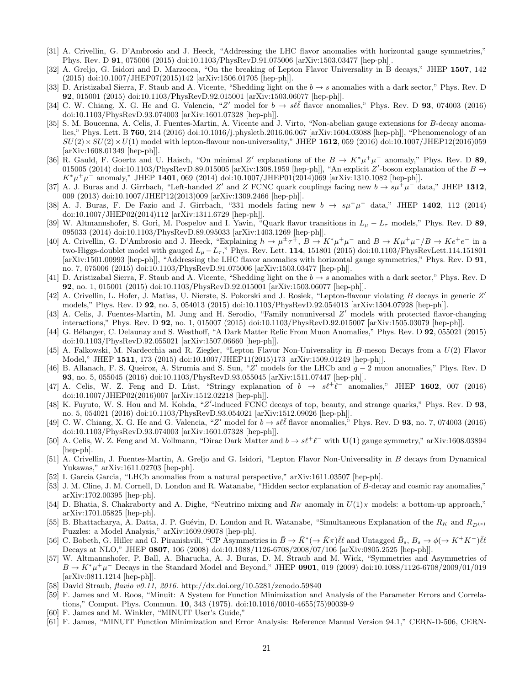- [31] A. Crivellin, G. D'Ambrosio and J. Heeck, "Addressing the LHC flavor anomalies with horizontal gauge symmetries," Phys. Rev. D 91, 075006 (2015) doi:10.1103/PhysRevD.91.075006 [arXiv:1503.03477 [hep-ph]].
- [32] A. Greljo, G. Isidori and D. Marzocca, "On the breaking of Lepton Flavor Universality in B decays," JHEP 1507, 142 (2015) doi:10.1007/JHEP07(2015)142 [arXiv:1506.01705 [hep-ph]].
- [33] D. Aristizabal Sierra, F. Staub and A. Vicente, "Shedding light on the  $b \rightarrow s$  anomalies with a dark sector," Phys. Rev. D 92, 015001 (2015) doi:10.1103/PhysRevD.92.015001 [arXiv:1503.06077 [hep-ph]].
- [34] C. W. Chiang, X. G. He and G. Valencia, "Z' model for  $b \to s\ell\bar{\ell}$  flavor anomalies," Phys. Rev. D 93, 074003 (2016) doi:10.1103/PhysRevD.93.074003 [arXiv:1601.07328 [hep-ph]].
- [35] S. M. Boucenna, A. Celis, J. Fuentes-Martin, A. Vicente and J. Virto, "Non-abelian gauge extensions for B-decay anomalies," Phys. Lett. B 760, 214 (2016) doi:10.1016/j.physletb.2016.06.067 [arXiv:1604.03088 [hep-ph]], "Phenomenology of an  $SU(2)\times SU(2)\times U(1)$  model with lepton-flavour non-universality," JHEP 1612, 059 (2016) doi:10.1007/JHEP12(2016)059 [arXiv:1608.01349 [hep-ph]].
- [36] R. Gauld, F. Goertz and U. Haisch, "On minimal Z' explanations of the  $B \to K^* \mu^+ \mu^-$  anomaly," Phys. Rev. D 89, 015005 (2014) doi:10.1103/PhysRevD.89.015005 [arXiv:1308.1959 [hep-ph]], "An explicit  $Z'$ -boson explanation of the  $B \to$  $K^*\mu^+\mu^-$  anomaly," JHEP 1401, 069 (2014) doi:10.1007/JHEP01(2014)069 [arXiv:1310.1082 [hep-ph]].
- [37] A. J. Buras and J. Girrbach, "Left-handed Z' and Z FCNC quark couplings facing new  $b \to s\mu^+\mu^-$  data," JHEP 1312, 009 (2013) doi:10.1007/JHEP12(2013)009 [arXiv:1309.2466 [hep-ph]].
- [38] A. J. Buras, F. De Fazio and J. Girrbach, "331 models facing new  $b \to s\mu^+\mu^-$  data," JHEP 1402, 112 (2014) doi:10.1007/JHEP02(2014)112 [arXiv:1311.6729 [hep-ph]].
- [39] W. Altmannshofer, S. Gori, M. Pospelov and I. Yavin, "Quark flavor transitions in  $L_{\mu} L_{\tau}$  models," Phys. Rev. D 89, 095033 (2014) doi:10.1103/PhysRevD.89.095033 [arXiv:1403.1269 [hep-ph]].
- [40] A. Crivellin, G. D'Ambrosio and J. Heeck, "Explaining  $h \to \mu^{\pm} \tau^{\mp}$ ,  $B \to K^* \mu^+ \mu^-$  and  $B \to K \mu^+ \mu^- / B \to K e^+ e^-$  in a two-Higgs-doublet model with gauged  $L_{\mu}-L_{\tau}$ ," Phys. Rev. Lett. 114, 151801 (2015) doi:10.1103/PhysRevLett.114.151801 [arXiv:1501.00993 [hep-ph]], "Addressing the LHC flavor anomalies with horizontal gauge symmetries," Phys. Rev. D 91, no. 7, 075006 (2015) doi:10.1103/PhysRevD.91.075006 [arXiv:1503.03477 [hep-ph]].
- [41] D. Aristizabal Sierra, F. Staub and A. Vicente, "Shedding light on the  $b \rightarrow s$  anomalies with a dark sector," Phys. Rev. D 92, no. 1, 015001 (2015) doi:10.1103/PhysRevD.92.015001 [arXiv:1503.06077 [hep-ph]].
- [42] A. Crivellin, L. Hofer, J. Matias, U. Nierste, S. Pokorski and J. Rosiek, "Lepton-flavour violating B decays in generic Z' models," Phys. Rev. D 92, no. 5, 054013 (2015) doi:10.1103/PhysRevD.92.054013 [arXiv:1504.07928 [hep-ph]].
- [43] A. Celis, J. Fuentes-Martin, M. Jung and H. Serodio, "Family nonuniversal Z' models with protected flavor-changing interactions," Phys. Rev. D 92, no. 1, 015007 (2015) doi:10.1103/PhysRevD.92.015007 [arXiv:1505.03079 [hep-ph]].
- [44] G. Bélanger, C. Delaunay and S. Westhoff, "A Dark Matter Relic From Muon Anomalies," Phys. Rev. D 92, 055021 (2015) doi:10.1103/PhysRevD.92.055021 [arXiv:1507.06660 [hep-ph]].
- [45] A. Falkowski, M. Nardecchia and R. Ziegler, "Lepton Flavor Non-Universality in B-meson Decays from a U(2) Flavor Model," JHEP 1511, 173 (2015) doi:10.1007/JHEP11(2015)173 [arXiv:1509.01249 [hep-ph]].
- [46] B. Allanach, F. S. Queiroz, A. Strumia and S. Sun, "Z' models for the LHCb and  $g-2$  muon anomalies," Phys. Rev. D 93, no. 5, 055045 (2016) doi:10.1103/PhysRevD.93.055045 [arXiv:1511.07447 [hep-ph]].
- [47] A. Celis, W. Z. Feng and D. Lüst, "Stringy explanation of  $b \rightarrow s\ell^+\ell^-$  anomalies," JHEP 1602, 007 (2016) doi:10.1007/JHEP02(2016)007 [arXiv:1512.02218 [hep-ph]].
- [48] K. Fuyuto, W. S. Hou and M. Kohda, "Z'-induced FCNC decays of top, beauty, and strange quarks," Phys. Rev. D 93, no. 5, 054021 (2016) doi:10.1103/PhysRevD.93.054021 [arXiv:1512.09026 [hep-ph]].
- [49] C. W. Chiang, X. G. He and G. Valencia, "Z' model for  $b \to s\ell\bar{\ell}$  flavor anomalies," Phys. Rev. D 93, no. 7, 074003 (2016) doi:10.1103/PhysRevD.93.074003 [arXiv:1601.07328 [hep-ph]].
- [50] A. Celis, W. Z. Feng and M. Vollmann, "Dirac Dark Matter and  $b \to s\ell^+\ell^-$  with  $\mathbf{U(1)}$  gauge symmetry," arXiv:1608.03894 [hep-ph].
- [51] A. Crivellin, J. Fuentes-Martin, A. Greljo and G. Isidori, "Lepton Flavor Non-Universality in B decays from Dynamical Yukawas," arXiv:1611.02703 [hep-ph].
- [52] I. Garcia Garcia, "LHCb anomalies from a natural perspective," arXiv:1611.03507 [hep-ph].
- [53] J. M. Cline, J. M. Cornell, D. London and R. Watanabe, "Hidden sector explanation of B-decay and cosmic ray anomalies," arXiv:1702.00395 [hep-ph].
- [54] D. Bhatia, S. Chakraborty and A. Dighe, "Neutrino mixing and  $R_K$  anomaly in  $U(1)_X$  models: a bottom-up approach," arXiv:1701.05825 [hep-ph].
- [55] B. Bhattacharya, A. Datta, J. P. Guévin, D. London and R. Watanabe, "Simultaneous Explanation of the  $R_K$  and  $R_{D(*)}$ Puzzles: a Model Analysis," arXiv:1609.09078 [hep-ph].
- [56] C. Bobeth, G. Hiller and G. Piranishvili, "CP Asymmetries in  $\overline{B} \to \overline{K}^* (\to \overline{K} \pi) \overline{\ell} \ell$  and Untagged  $\overline{B}_s$ ,  $B_s \to \phi (\to K^+ K^-) \overline{\ell} \ell$ Decays at NLO," JHEP 0807, 106 (2008) doi:10.1088/1126-6708/2008/07/106 [arXiv:0805.2525 [hep-ph]].
- [57] W. Altmannshofer, P. Ball, A. Bharucha, A. J. Buras, D. M. Straub and M. Wick, "Symmetries and Asymmetries of  $B \to K^* \mu^+ \mu^-$  Decays in the Standard Model and Beyond," JHEP 0901, 019 (2009) doi:10.1088/1126-6708/2009/01/019 [arXiv:0811.1214 [hep-ph]].
- [58] David Straub, flavio v0.11, 2016. http://dx.doi.org/10.5281/zenodo.59840
- [59] F. James and M. Roos, "Minuit: A System for Function Minimization and Analysis of the Parameter Errors and Correlations," Comput. Phys. Commun. 10, 343 (1975). doi:10.1016/0010-4655(75)90039-9
- [60] F. James and M. Winkler, "MINUIT User's Guide,"
- [61] F. James, "MINUIT Function Minimization and Error Analysis: Reference Manual Version 94.1," CERN-D-506, CERN-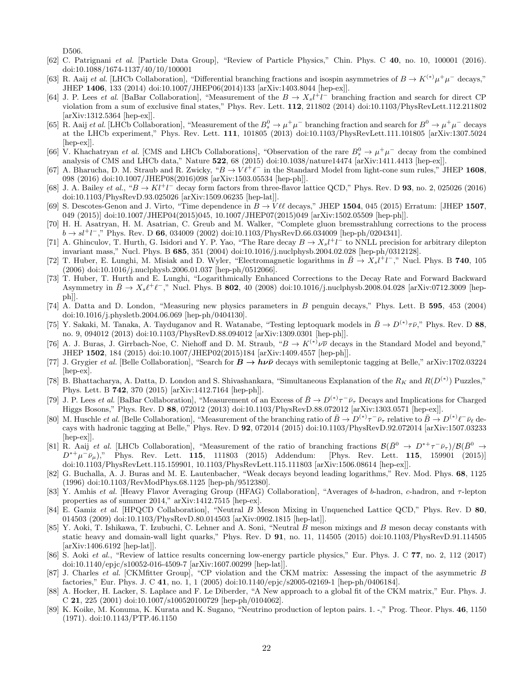D506.

- [62] C. Patrignani et al. [Particle Data Group], "Review of Particle Physics," Chin. Phys. C 40, no. 10, 100001 (2016). doi:10.1088/1674-1137/40/10/100001
- [63] R. Aaij et al. [LHCb Collaboration], "Differential branching fractions and isospin asymmetries of  $B \to K^{(*)} \mu^+ \mu^-$  decays," JHEP 1406, 133 (2014) doi:10.1007/JHEP06(2014)133 [arXiv:1403.8044 [hep-ex]].
- [64] J. P. Lees *et al.* [BaBar Collaboration], "Measurement of the  $B \to X_s l^+ l^-$  branching fraction and search for direct CP violation from a sum of exclusive final states," Phys. Rev. Lett. 112, 211802 (2014) doi:10.1103/PhysRevLett.112.211802 [arXiv:1312.5364 [hep-ex]].
- [65] R. Aaij et al. [LHCb Collaboration], "Measurement of the  $B_s^0 \to \mu^+\mu^-$  branching fraction and search for  $B^0 \to \mu^+\mu^-$  decays at the LHCb experiment," Phys. Rev. Lett. 111, 101805 (2013) doi:10.1103/PhysRevLett.111.101805 [arXiv:1307.5024 [hep-ex]].
- [66] V. Khachatryan et al. [CMS and LHCb Collaborations], "Observation of the rare  $B_s^0 \to \mu^+\mu^-$  decay from the combined analysis of CMS and LHCb data," Nature 522, 68 (2015) doi:10.1038/nature14474 [arXiv:1411.4413 [hep-ex]].
- [67] A. Bharucha, D. M. Straub and R. Zwicky, " $B \to V \ell^+ \ell^-$  in the Standard Model from light-cone sum rules," JHEP 1608, 098 (2016) doi:10.1007/JHEP08(2016)098 [arXiv:1503.05534 [hep-ph]].
- [68] J. A. Bailey *et al.*, " $B \to Kl^+l^-$  decay form factors from three-flavor lattice QCD," Phys. Rev. D **93**, no. 2, 025026 (2016) doi:10.1103/PhysRevD.93.025026 [arXiv:1509.06235 [hep-lat]].
- [69] S. Descotes-Genon and J. Virto, "Time dependence in  $B \to V \ell \ell$  decays," JHEP 1504, 045 (2015) Erratum: [JHEP 1507, 049 (2015)] doi:10.1007/JHEP04(2015)045, 10.1007/JHEP07(2015)049 [arXiv:1502.05509 [hep-ph]].
- [70] H. H. Asatryan, H. M. Asatrian, C. Greub and M. Walker, "Complete gluon bremsstrahlung corrections to the process  $b \to s l^+l^-$ ," Phys. Rev. D 66, 034009 (2002) doi:10.1103/PhysRevD.66.034009 [hep-ph/0204341].
- [71] A. Ghinculov, T. Hurth, G. Isidori and Y. P. Yao, "The Rare decay  $B \to X_s l^+ l^-$  to NNLL precision for arbitrary dilepton invariant mass," Nucl. Phys. B 685, 351 (2004) doi:10.1016/j.nuclphysb.2004.02.028 [hep-ph/0312128].
- [72] T. Huber, E. Lunghi, M. Misiak and D. Wyler, "Electromagnetic logarithms in  $\bar{B} \to X_s l^+ l^-$ ," Nucl. Phys. B 740, 105 (2006) doi:10.1016/j.nuclphysb.2006.01.037 [hep-ph/0512066].
- [73] T. Huber, T. Hurth and E. Lunghi, "Logarithmically Enhanced Corrections to the Decay Rate and Forward Backward Asymmetry in  $\bar{B} \to X_s \ell^+ \ell^-$ ," Nucl. Phys. B 802, 40 (2008) doi:10.1016/j.nuclphysb.2008.04.028 [arXiv:0712.3009 [hepph]].
- [74] A. Datta and D. London, "Measuring new physics parameters in B penguin decays," Phys. Lett. B 595, 453 (2004) doi:10.1016/j.physletb.2004.06.069 [hep-ph/0404130].
- [75] Y. Sakaki, M. Tanaka, A. Tayduganov and R. Watanabe, "Testing leptoquark models in  $\bar{B} \to D^{(*)}\tau\bar{\nu}$ ," Phys. Rev. D 88, no. 9, 094012 (2013) doi:10.1103/PhysRevD.88.094012 [arXiv:1309.0301 [hep-ph]].
- [76] A. J. Buras, J. Girrbach-Noe, C. Niehoff and D. M. Straub, " $B \to K^{(*)} \nu \bar{\nu}$  decays in the Standard Model and beyond," JHEP 1502, 184 (2015) doi:10.1007/JHEP02(2015)184 [arXiv:1409.4557 [hep-ph]].
- [77] J. Grygier et al. [Belle Collaboration], "Search for  $\dot{B} \to h\nu\bar{\nu}$  decays with semileptonic tagging at Belle," arXiv:1702.03224 [hep-ex].
- [78] B. Bhattacharya, A. Datta, D. London and S. Shivashankara, "Simultaneous Explanation of the  $R_K$  and  $R(D^{(*)})$  Puzzles," Phys. Lett. B 742, 370 (2015) [arXiv:1412.7164 [hep-ph]].
- [79] J. P. Lees *et al.* [BaBar Collaboration], "Measurement of an Excess of  $\bar{B} \to D^{(*)}\tau^-\bar{\nu}_{\tau}$  Decays and Implications for Charged Higgs Bosons," Phys. Rev. D 88, 072012 (2013) doi:10.1103/PhysRevD.88.072012 [arXiv:1303.0571 [hep-ex]].
- [80] M. Huschle *et al.* [Belle Collaboration], "Measurement of the branching ratio of  $\bar{B} \to D^{(*)}\tau^- \bar{\nu}_{\tau}$  relative to  $\bar{B} \to D^{(*)}\ell^- \bar{\nu}_{\ell}$  decays with hadronic tagging at Belle," Phys. Rev. D 92, 072014 (2015) doi:10.1103/PhysRevD.92.072014 [arXiv:1507.03233 [hep-ex]].
- [81] R. Aaij et al. [LHCb Collaboration], "Measurement of the ratio of branching fractions  $\mathcal{B}(\bar{B}^0 \to D^{*+}\tau^-\bar{\nu}_{\tau})/\mathcal{B}(\bar{B}^0 \to D^{*+}\tau^- \bar{\nu}_{\tau})$  $D^{*+}\mu^-\bar{\nu}_{\mu}$ ," Phys. Rev. Lett. 115, 111803 (2015) Addendum: [Phys. Rev. Lett. 115, 159901 (2015)] doi:10.1103/PhysRevLett.115.159901, 10.1103/PhysRevLett.115.111803 [arXiv:1506.08614 [hep-ex]].
- [82] G. Buchalla, A. J. Buras and M. E. Lautenbacher, "Weak decays beyond leading logarithms," Rev. Mod. Phys. 68, 1125 (1996) doi:10.1103/RevModPhys.68.1125 [hep-ph/9512380].
- [83] Y. Amhis et al. [Heavy Flavor Averaging Group (HFAG) Collaboration], "Averages of b-hadron, c-hadron, and  $\tau$ -lepton properties as of summer 2014," arXiv:1412.7515 [hep-ex].
- [84] E. Gamiz et al. [HPQCD Collaboration], "Neutral B Meson Mixing in Unquenched Lattice QCD," Phys. Rev. D 80, 014503 (2009) doi:10.1103/PhysRevD.80.014503 [arXiv:0902.1815 [hep-lat]].
- [85] Y. Aoki, T. Ishikawa, T. Izubuchi, C. Lehner and A. Soni, "Neutral B meson mixings and B meson decay constants with static heavy and domain-wall light quarks," Phys. Rev. D 91, no. 11, 114505 (2015) doi:10.1103/PhysRevD.91.114505 [arXiv:1406.6192 [hep-lat]].
- [86] S. Aoki et al., "Review of lattice results concerning low-energy particle physics," Eur. Phys. J. C 77, no. 2, 112 (2017) doi:10.1140/epjc/s10052-016-4509-7 [arXiv:1607.00299 [hep-lat]].
- [87] J. Charles et al. [CKMfitter Group], "CP violation and the CKM matrix: Assessing the impact of the asymmetric B factories," Eur. Phys. J. C 41, no. 1, 1 (2005) doi:10.1140/epjc/s2005-02169-1 [hep-ph/0406184].
- [88] A. Hocker, H. Lacker, S. Laplace and F. Le Diberder, "A New approach to a global fit of the CKM matrix," Eur. Phys. J. C 21, 225 (2001) doi:10.1007/s100520100729 [hep-ph/0104062].
- [89] K. Koike, M. Konuma, K. Kurata and K. Sugano, "Neutrino production of lepton pairs. 1. -," Prog. Theor. Phys. 46, 1150 (1971). doi:10.1143/PTP.46.1150